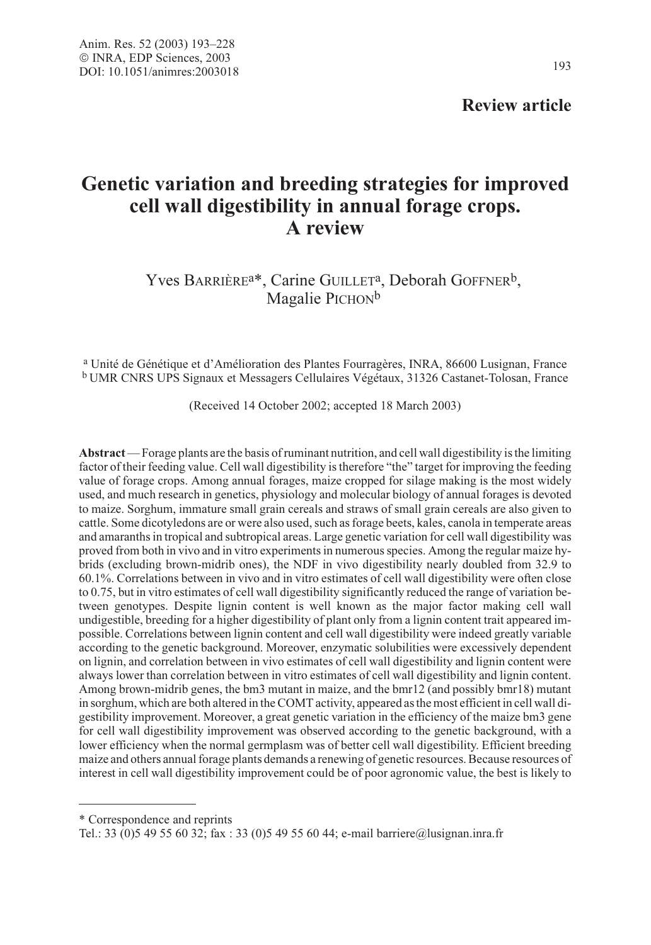Review article

# Genetic variation and breeding strategies for improved cell wall digestibility in annual forage crops. A review

# Yves BARRIÈRE<sup>a\*</sup>, Carine GUILLET<sup>a</sup>, Deborah GOFFNER<sup>b</sup>, Magalie PICHON<sup>b</sup>

<sup>a</sup> Unité de Génétique et d'Amélioration des Plantes Fourragères, INRA, 86600 Lusignan, France <sup>b</sup> UMR CNRS UPS Signaux et Messagers Cellulaires Végétaux, 31326 Castanet-Tolosan, France

(Received 14 October 2002; accepted 18 March 2003)

Abstract— Forage plants are the basis of ruminant nutrition, and cell wall digestibility is the limiting factor of their feeding value. Cell wall digestibility is therefore "the" target for improving the feeding value of forage crops. Among annual forages, maize cropped for silage making is the most widely used, and much research in genetics, physiology and molecular biology of annual forages is devoted to maize. Sorghum, immature small grain cereals and straws of small grain cereals are also given to cattle. Some dicotyledons are or were also used, such as forage beets, kales, canola in temperate areas and amaranths in tropical and subtropical areas. Large genetic variation for cell wall digestibility was proved from both in vivo and in vitro experiments in numerous species. Among the regular maize hybrids (excluding brown-midrib ones), the NDF in vivo digestibility nearly doubled from 32.9 to 60.1%. Correlations between in vivo and in vitro estimates of cell wall digestibility were often close to 0.75, but in vitro estimates of cell wall digestibility significantly reduced the range of variation between genotypes. Despite lignin content is well known as the major factor making cell wall undigestible, breeding for a higher digestibility of plant only from a lignin content trait appeared impossible. Correlations between lignin content and cell wall digestibility were indeed greatly variable according to the genetic background. Moreover, enzymatic solubilities were excessively dependent on lignin, and correlation between in vivo estimates of cell wall digestibility and lignin content were always lower than correlation between in vitro estimates of cell wall digestibility and lignin content. Among brown-midrib genes, the bm3 mutant in maize, and the bmr12 (and possibly bmr18) mutant in sorghum, which are both altered in the COMT activity, appeared as the most efficient in cell wall digestibility improvement. Moreover, a great genetic variation in the efficiency of the maize bm3 gene for cell wall digestibility improvement was observed according to the genetic background, with a lower efficiency when the normal germplasm was of better cell wall digestibility. Efficient breeding maize and others annual forage plants demands a renewing of genetic resources. Because resources of interest in cell wall digestibility improvement could be of poor agronomic value, the best is likely to

\* Correspondence and reprints

Tel.: 33 (0)5 49 55 60 32; fax : 33 (0)5 49 55 60 44; e-mail barriere@lusignan.inra.fr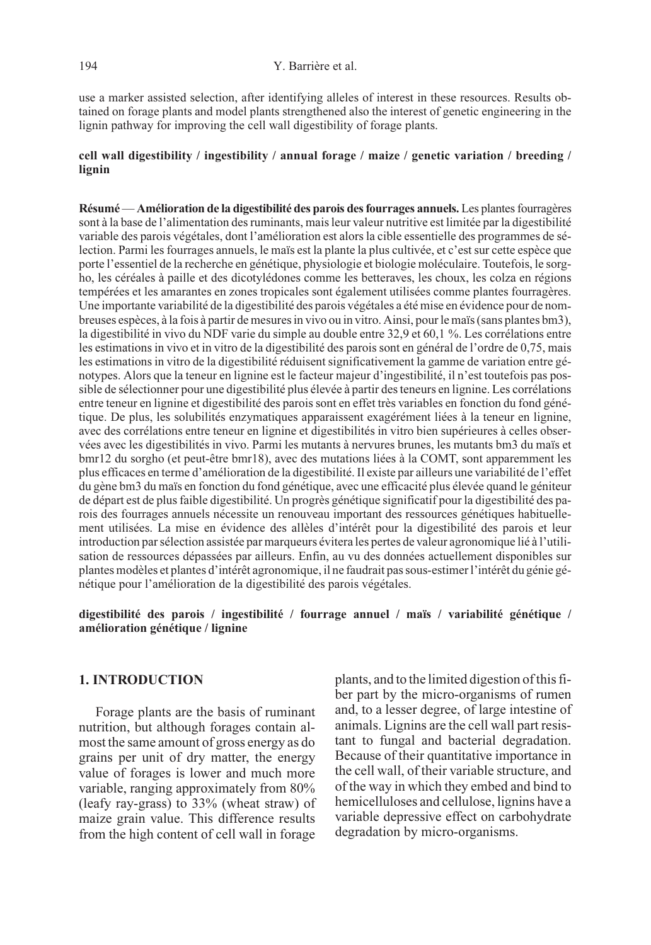use a marker assisted selection, after identifying alleles of interest in these resources. Results obtained on forage plants and model plants strengthened also the interest of genetic engineering in the lignin pathway for improving the cell wall digestibility of forage plants.

### cell wall digestibility / ingestibility / annual forage / maize / genetic variation / breeding / lignin

Résumé— Amélioration de la digestibilité des parois des fourrages annuels. Les plantes fourragères sont à la base de l'alimentation des ruminants, mais leur valeur nutritive est limitée par la digestibilité variable des parois végétales, dont l'amélioration est alors la cible essentielle des programmes de sélection. Parmi les fourrages annuels, le maïs est la plante la plus cultivée, et c'est sur cette espèce que porte l'essentiel de la recherche en génétique, physiologie et biologie moléculaire. Toutefois, le sorgho, les céréales à paille et des dicotylédones comme les betteraves, les choux, les colza en régions tempérées et les amarantes en zones tropicales sont également utilisées comme plantes fourragères. Une importante variabilité de la digestibilité des parois végétales a été mise en évidence pour de nombreuses espèces, à la fois à partir de mesures in vivo ou in vitro. Ainsi, pour le maïs (sans plantes bm3), la digestibilité in vivo du NDF varie du simple au double entre 32,9 et 60,1 %. Les corrélations entre les estimations in vivo et in vitro de la digestibilité des parois sont en général de l'ordre de 0,75, mais les estimations in vitro de la digestibilité réduisent significativement la gamme de variation entre génotypes. Alors que la teneur en lignine est le facteur majeur d'ingestibilité, il n'est toutefois pas possible de sélectionner pour une digestibilité plus élevée à partir des teneurs en lignine. Les corrélations entre teneur en lignine et digestibilité des parois sont en effet très variables en fonction du fond génétique. De plus, les solubilités enzymatiques apparaissent exagérément liées à la teneur en lignine, avec des corrélations entre teneur en lignine et digestibilités in vitro bien supérieures à celles observées avec les digestibilités in vivo. Parmi les mutants à nervures brunes, les mutants bm3 du maïs et bmr12 du sorgho (et peut-être bmr18), avec des mutations liées à la COMT, sont apparemment les plus efficaces en terme d'amélioration de la digestibilité. Il existe par ailleurs une variabilité de l'effet du gène bm3 du maïs en fonction du fond génétique, avec une efficacité plus élevée quand le géniteur de départ est de plus faible digestibilité. Un progrès génétique significatif pour la digestibilité des parois des fourrages annuels nécessite un renouveau important des ressources génétiques habituellement utilisées. La mise en évidence des allèles d'intérêt pour la digestibilité des parois et leur introduction par sélection assistée par marqueurs évitera les pertes de valeur agronomique lié à l'utilisation de ressources dépassées par ailleurs. Enfin, au vu des données actuellement disponibles sur plantes modèles et plantes d'intérêt agronomique, il ne faudrait pas sous-estimer l'intérêt du génie génétique pour l'amélioration de la digestibilité des parois végétales.

#### digestibilité des parois / ingestibilité / fourrage annuel / maïs / variabilité génétique / amélioration génétique / lignine

#### 1. INTRODUCTION

Forage plants are the basis of ruminant nutrition, but although forages contain almost the same amount of gross energy as do grains per unit of dry matter, the energy value of forages is lower and much more variable, ranging approximately from 80% (leafy ray-grass) to 33% (wheat straw) of maize grain value. This difference results from the high content of cell wall in forage plants, and to the limited digestion of this fiber part by the micro-organisms of rumen and, to a lesser degree, of large intestine of animals. Lignins are the cell wall part resistant to fungal and bacterial degradation. Because of their quantitative importance in the cell wall, of their variable structure, and of the way in which they embed and bind to hemicelluloses and cellulose, lignins have a variable depressive effect on carbohydrate degradation by micro-organisms.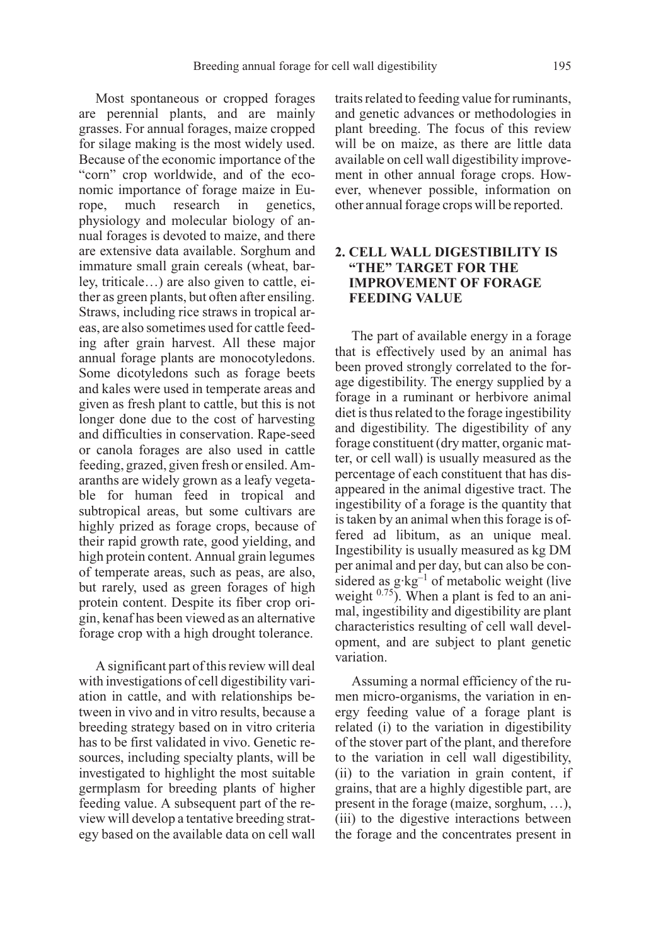Most spontaneous or cropped forages are perennial plants, and are mainly grasses. For annual forages, maize cropped for silage making is the most widely used. Because of the economic importance of the "corn" crop worldwide, and of the economic importance of forage maize in Europe, much research in genetics, physiology and molecular biology of annual forages is devoted to maize, and there are extensive data available. Sorghum and immature small grain cereals (wheat, barley, triticale…) are also given to cattle, either as green plants, but often after ensiling. Straws, including rice straws in tropical areas, are also sometimes used for cattle feeding after grain harvest. All these major annual forage plants are monocotyledons. Some dicotyledons such as forage beets and kales were used in temperate areas and given as fresh plant to cattle, but this is not longer done due to the cost of harvesting and difficulties in conservation. Rape-seed or canola forages are also used in cattle feeding, grazed, given fresh or ensiled. Amaranths are widely grown as a leafy vegetable for human feed in tropical and subtropical areas, but some cultivars are highly prized as forage crops, because of their rapid growth rate, good yielding, and high protein content. Annual grain legumes of temperate areas, such as peas, are also, but rarely, used as green forages of high protein content. Despite its fiber crop origin, kenaf has been viewed as an alternative forage crop with a high drought tolerance.

A significant part of this review will deal with investigations of cell digestibility variation in cattle, and with relationships between in vivo and in vitro results, because a breeding strategy based on in vitro criteria has to be first validated in vivo. Genetic resources, including specialty plants, will be investigated to highlight the most suitable germplasm for breeding plants of higher feeding value. A subsequent part of the review will develop a tentative breeding strategy based on the available data on cell wall

traits related to feeding value for ruminants, and genetic advances or methodologies in plant breeding. The focus of this review will be on maize, as there are little data available on cell wall digestibility improvement in other annual forage crops. However, whenever possible, information on other annual forage crops will be reported.

## 2. CELL WALL DIGESTIBILITY IS "THE" TARGET FOR THE IMPROVEMENT OF FORAGE FEEDING VALUE

The part of available energy in a forage that is effectively used by an animal has been proved strongly correlated to the forage digestibility. The energy supplied by a forage in a ruminant or herbivore animal diet is thus related to the forage ingestibility and digestibility. The digestibility of any forage constituent (dry matter, organic matter, or cell wall) is usually measured as the percentage of each constituent that has disappeared in the animal digestive tract. The ingestibility of a forage is the quantity that is taken by an animal when this forage is offered ad libitum, as an unique meal. Ingestibility is usually measured as kg DM per animal and per day, but can also be considered as  $g \cdot kg^{-1}$  of metabolic weight (live weight  $(0.75)$ . When a plant is fed to an animal, ingestibility and digestibility are plant characteristics resulting of cell wall development, and are subject to plant genetic variation.

Assuming a normal efficiency of the rumen micro-organisms, the variation in energy feeding value of a forage plant is related (i) to the variation in digestibility of the stover part of the plant, and therefore to the variation in cell wall digestibility, (ii) to the variation in grain content, if grains, that are a highly digestible part, are present in the forage (maize, sorghum, …), (iii) to the digestive interactions between the forage and the concentrates present in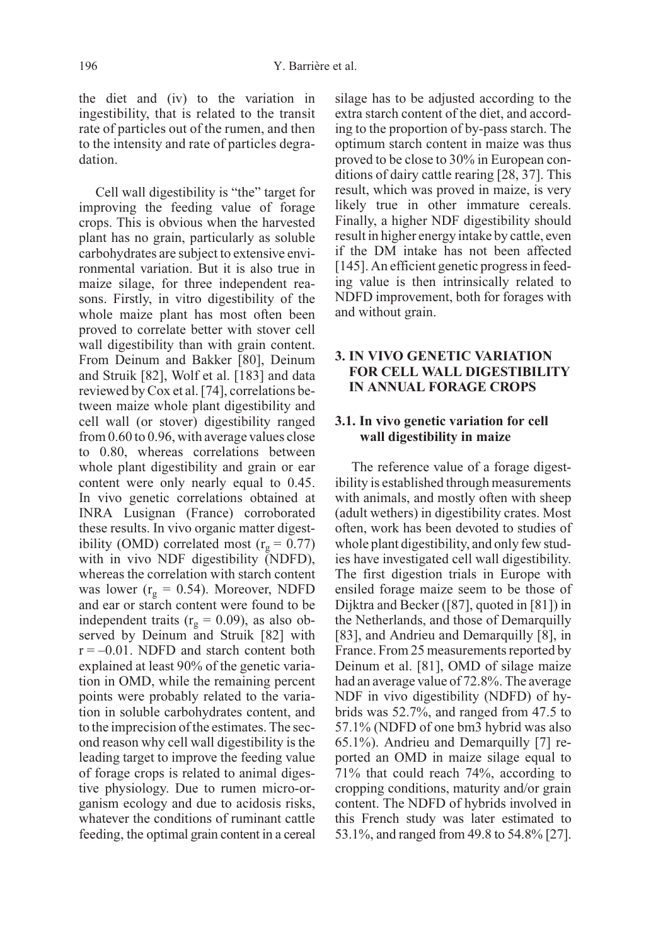the diet and (iv) to the variation in ingestibility, that is related to the transit rate of particles out of the rumen, and then to the intensity and rate of particles degradation.

Cell wall digestibility is "the" target for improving the feeding value of forage crops. This is obvious when the harvested plant has no grain, particularly as soluble carbohydrates are subject to extensive environmental variation. But it is also true in maize silage, for three independent reasons. Firstly, in vitro digestibility of the whole maize plant has most often been proved to correlate better with stover cell wall digestibility than with grain content. From Deinum and Bakker [80], Deinum and Struik [82], Wolf et al. [183] and data reviewed by Cox et al. [74], correlations between maize whole plant digestibility and cell wall (or stover) digestibility ranged from 0.60 to 0.96, with average values close to 0.80, whereas correlations between whole plant digestibility and grain or ear content were only nearly equal to 0.45. In vivo genetic correlations obtained at INRA Lusignan (France) corroborated these results. In vivo organic matter digestibility (OMD) correlated most ( $r<sub>o</sub> = 0.77$ ) with in vivo NDF digestibility (NDFD), whereas the correlation with starch content was lower ( $r<sub>o</sub> = 0.54$ ). Moreover, NDFD and ear or starch content were found to be independent traits ( $r_g = 0.09$ ), as also observed by Deinum and Struik [82] with  $r = -0.01$ . NDFD and starch content both explained at least 90% of the genetic variation in OMD, while the remaining percent points were probably related to the variation in soluble carbohydrates content, and to the imprecision of the estimates. The second reason why cell wall digestibility is the leading target to improve the feeding value of forage crops is related to animal digestive physiology. Due to rumen micro-organism ecology and due to acidosis risks, whatever the conditions of ruminant cattle feeding, the optimal grain content in a cereal

silage has to be adjusted according to the extra starch content of the diet, and according to the proportion of by-pass starch. The optimum starch content in maize was thus proved to be close to 30% in European conditions of dairy cattle rearing [28, 37]. This result, which was proved in maize, is very likely true in other immature cereals. Finally, a higher NDF digestibility should result in higher energy intake by cattle, even if the DM intake has not been affected [145]. An efficient genetic progress in feeding value is then intrinsically related to NDFD improvement, both for forages with and without grain.

#### 3. IN VIVO GENETIC VARIATION FOR CELL WALL DIGESTIBILITY IN ANNUAL FORAGE CROPS

#### 3.1. In vivo genetic variation for cell wall digestibility in maize

The reference value of a forage digestibility is established through measurements with animals, and mostly often with sheep (adult wethers) in digestibility crates. Most often, work has been devoted to studies of whole plant digestibility, and only few studies have investigated cell wall digestibility. The first digestion trials in Europe with ensiled forage maize seem to be those of Dijktra and Becker ([87], quoted in [81]) in the Netherlands, and those of Demarquilly [83], and Andrieu and Demarquilly [8], in France. From 25 measurements reported by Deinum et al. [81], OMD of silage maize had an average value of 72.8%. The average NDF in vivo digestibility (NDFD) of hybrids was 52.7%, and ranged from 47.5 to 57.1% (NDFD of one bm3 hybrid was also 65.1%). Andrieu and Demarquilly [7] reported an OMD in maize silage equal to 71% that could reach 74%, according to cropping conditions, maturity and/or grain content. The NDFD of hybrids involved in this French study was later estimated to 53.1%, and ranged from 49.8 to 54.8% [27].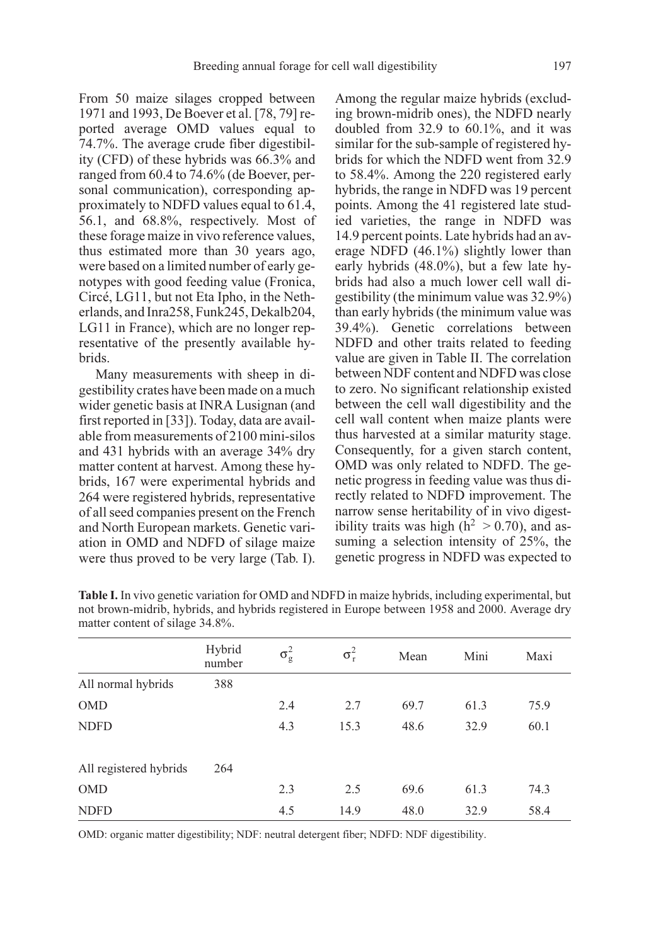From 50 maize silages cropped between 1971 and 1993, De Boever et al. [78, 79] reported average OMD values equal to 74.7%. The average crude fiber digestibility (CFD) of these hybrids was 66.3% and ranged from 60.4 to 74.6% (de Boever, personal communication), corresponding approximately to NDFD values equal to 61.4, 56.1, and 68.8%, respectively. Most of these forage maize in vivo reference values, thus estimated more than 30 years ago, were based on a limited number of early genotypes with good feeding value (Fronica, Circé, LG11, but not Eta Ipho, in the Netherlands, and Inra258, Funk245, Dekalb204, LG11 in France), which are no longer representative of the presently available hybrids.

Many measurements with sheep in digestibility crates have been made on a much wider genetic basis at INRA Lusignan (and first reported in [33]). Today, data are available from measurements of 2100 mini-silos and 431 hybrids with an average 34% dry matter content at harvest. Among these hybrids, 167 were experimental hybrids and 264 were registered hybrids, representative of all seed companies present on the French and North European markets. Genetic variation in OMD and NDFD of silage maize were thus proved to be very large (Tab. I).

Among the regular maize hybrids (excluding brown-midrib ones), the NDFD nearly doubled from 32.9 to 60.1%, and it was similar for the sub-sample of registered hybrids for which the NDFD went from 32.9 to 58.4%. Among the 220 registered early hybrids, the range in NDFD was 19 percent points. Among the 41 registered late studied varieties, the range in NDFD was 14.9 percent points. Late hybrids had an average NDFD (46.1%) slightly lower than early hybrids (48.0%), but a few late hybrids had also a much lower cell wall digestibility (the minimum value was 32.9%) than early hybrids (the minimum value was 39.4%). Genetic correlations between NDFD and other traits related to feeding value are given in Table II. The correlation between NDF content and NDFD was close to zero. No significant relationship existed between the cell wall digestibility and the cell wall content when maize plants were thus harvested at a similar maturity stage. Consequently, for a given starch content, OMD was only related to NDFD. The genetic progress in feeding value was thus directly related to NDFD improvement. The narrow sense heritability of in vivo digestibility traits was high ( $h^2 > 0.70$ ), and assuming a selection intensity of 25%, the genetic progress in NDFD was expected to

|                        | Hybrid<br>number | $\sigma_g^2$ | $\sigma_{\rm r}^2$ | Mean | Mini | Maxi |
|------------------------|------------------|--------------|--------------------|------|------|------|
| All normal hybrids     | 388              |              |                    |      |      |      |
| <b>OMD</b>             |                  | 2.4          | 2.7                | 69.7 | 61.3 | 75.9 |
| <b>NDFD</b>            |                  | 4.3          | 15.3               | 48.6 | 32.9 | 60.1 |
| All registered hybrids | 264              |              |                    |      |      |      |
| <b>OMD</b>             |                  | 2.3          | 2.5                | 69.6 | 61.3 | 74.3 |
| <b>NDFD</b>            |                  | 4.5          | 14.9               | 48.0 | 32.9 | 58.4 |

Table I. In vivo genetic variation for OMD and NDFD in maize hybrids, including experimental, but not brown-midrib, hybrids, and hybrids registered in Europe between 1958 and 2000. Average dry matter content of silage 34.8%.

OMD: organic matter digestibility; NDF: neutral detergent fiber; NDFD: NDF digestibility.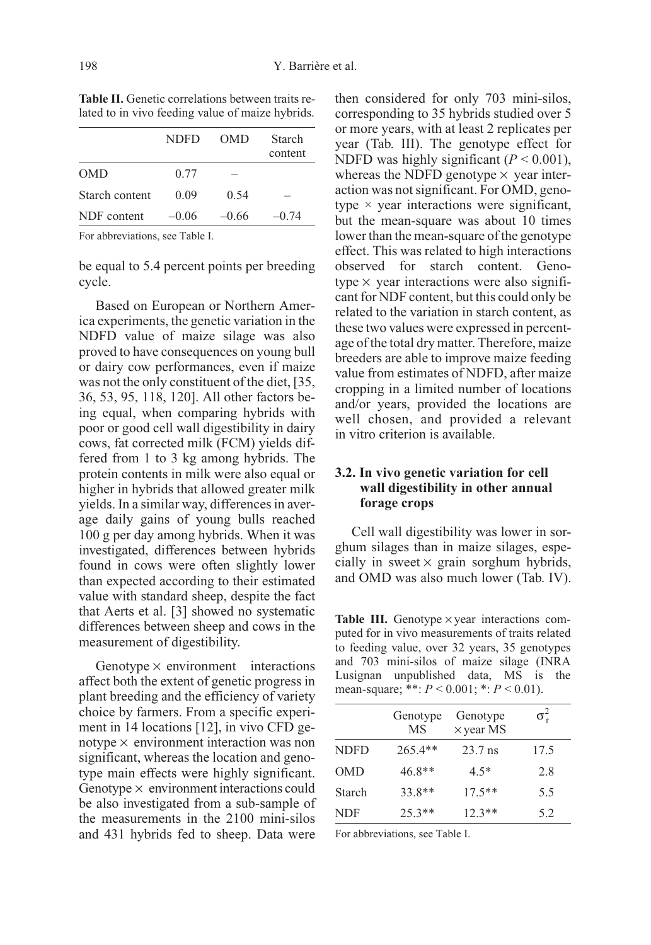|                 | <b>NDFD</b> | <b>OMD</b> | Starch<br>content |
|-----------------|-------------|------------|-------------------|
| 0 <sub>MD</sub> | 0.77        |            |                   |
| Starch content  | 0.09        | 0.54       |                   |
| NDF content     | $-0.06$     | $-0.66$    | $-0.74$           |
|                 |             |            |                   |

Table II. Genetic correlations between traits related to in vivo feeding value of maize hybrids.

For abbreviations, see Table I.

be equal to 5.4 percent points per breeding cycle.

Based on European or Northern America experiments, the genetic variation in the NDFD value of maize silage was also proved to have consequences on young bull or dairy cow performances, even if maize was not the only constituent of the diet, [35, 36, 53, 95, 118, 120]. All other factors being equal, when comparing hybrids with poor or good cell wall digestibility in dairy cows, fat corrected milk (FCM) yields differed from 1 to 3 kg among hybrids. The protein contents in milk were also equal or higher in hybrids that allowed greater milk yields. In a similar way, differences in average daily gains of young bulls reached 100 g per day among hybrids. When it was investigated, differences between hybrids found in cows were often slightly lower than expected according to their estimated value with standard sheep, despite the fact that Aerts et al. [3] showed no systematic differences between sheep and cows in the measurement of digestibility.

Genotype  $\times$  environment interactions affect both the extent of genetic progress in plant breeding and the efficiency of variety choice by farmers. From a specific experiment in 14 locations [12], in vivo CFD genotype  $\times$  environment interaction was non significant, whereas the location and genotype main effects were highly significant. Genotype  $\times$  environment interactions could be also investigated from a sub-sample of the measurements in the 2100 mini-silos and 431 hybrids fed to sheep. Data were then considered for only 703 mini-silos, corresponding to 35 hybrids studied over 5 or more years, with at least 2 replicates per year (Tab. III). The genotype effect for NDFD was highly significant  $(P < 0.001)$ , whereas the NDFD genotype  $\times$  year interaction was not significant. For OMD, genotype  $\times$  year interactions were significant, but the mean-square was about 10 times lower than the mean-square of the genotype effect. This was related to high interactions observed for starch content. Genotype  $\times$  year interactions were also significant for NDF content, but this could only be related to the variation in starch content, as these two values were expressed in percentage of the total dry matter. Therefore, maize breeders are able to improve maize feeding value from estimates of NDFD, after maize cropping in a limited number of locations and/or years, provided the locations are well chosen, and provided a relevant in vitro criterion is available.

## 3.2. In vivo genetic variation for cell wall digestibility in other annual forage crops

Cell wall digestibility was lower in sorghum silages than in maize silages, especially in sweet  $\times$  grain sorghum hybrids, and OMD was also much lower (Tab. IV).

**Table III.** Genotype  $\times$  year interactions computed for in vivo measurements of traits related to feeding value, over 32 years, 35 genotypes and 703 mini-silos of maize silage (INRA Lusignan unpublished data, MS is the mean-square; \*\*:  $P < 0.001$ ; \*:  $P < 0.01$ ).

|             | Genotype<br>MS | Genotype<br>$\times$ year MS | $\sigma_r^2$ |
|-------------|----------------|------------------------------|--------------|
| <b>NDFD</b> | $265.4**$      | $23.7$ ns                    | 17.5         |
| <b>OMD</b>  | $46.8**$       | $4.5*$                       | 2.8          |
| Starch      | 33.8**         | $17.5***$                    | 5.5          |
| NDF         | $25.3**$       | $12.3**$                     | 5.2          |

For abbreviations, see Table I.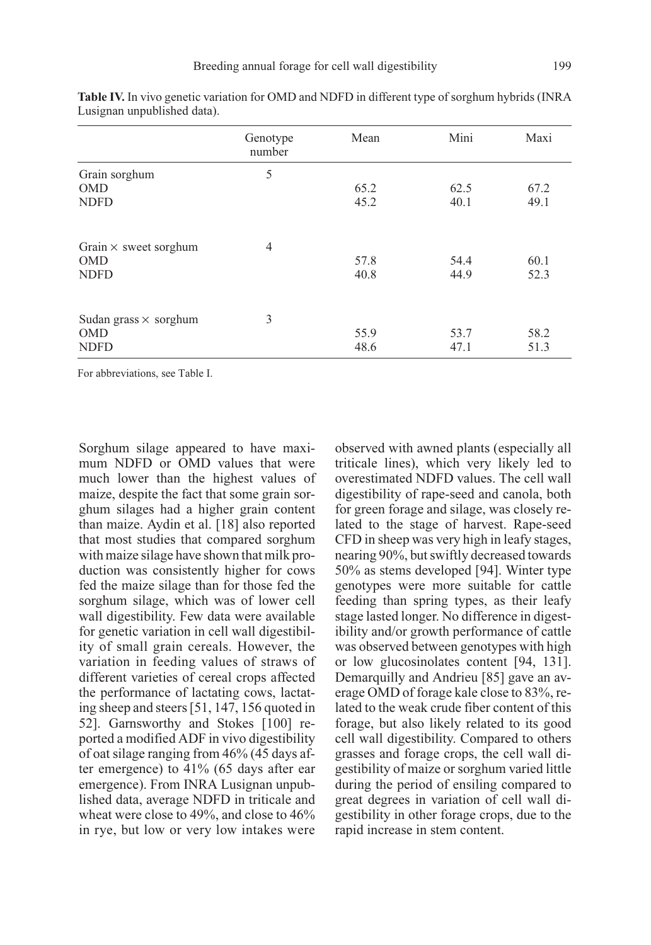|                              | Genotype<br>number | Mean | Mini | Maxi |
|------------------------------|--------------------|------|------|------|
| Grain sorghum                | 5                  |      |      |      |
| <b>OMD</b>                   |                    | 65.2 | 62.5 | 67.2 |
| <b>NDFD</b>                  |                    | 45.2 | 40.1 | 49.1 |
| Grain $\times$ sweet sorghum | $\overline{4}$     |      |      |      |
| <b>OMD</b>                   |                    | 57.8 | 54.4 | 60.1 |
| <b>NDFD</b>                  |                    | 40.8 | 44.9 | 52.3 |
| Sudan grass $\times$ sorghum | 3                  |      |      |      |
| <b>OMD</b>                   |                    | 55.9 | 53.7 | 58.2 |
| <b>NDFD</b>                  |                    | 48.6 | 47.1 | 51.3 |

Table IV. In vivo genetic variation for OMD and NDFD in different type of sorghum hybrids (INRA Lusignan unpublished data).

For abbreviations, see Table I.

Sorghum silage appeared to have maximum NDFD or OMD values that were much lower than the highest values of maize, despite the fact that some grain sorghum silages had a higher grain content than maize. Aydin et al. [18] also reported that most studies that compared sorghum with maize silage have shown that milk production was consistently higher for cows fed the maize silage than for those fed the sorghum silage, which was of lower cell wall digestibility. Few data were available for genetic variation in cell wall digestibility of small grain cereals. However, the variation in feeding values of straws of different varieties of cereal crops affected the performance of lactating cows, lactating sheep and steers [51, 147, 156 quoted in 52]. Garnsworthy and Stokes [100] reported a modified ADF in vivo digestibility of oat silage ranging from 46% (45 days after emergence) to 41% (65 days after ear emergence). From INRA Lusignan unpublished data, average NDFD in triticale and wheat were close to 49%, and close to 46% in rye, but low or very low intakes were observed with awned plants (especially all triticale lines), which very likely led to overestimated NDFD values. The cell wall digestibility of rape-seed and canola, both for green forage and silage, was closely related to the stage of harvest. Rape-seed CFD in sheep was very high in leafy stages, nearing 90%, but swiftly decreased towards 50% as stems developed [94]. Winter type genotypes were more suitable for cattle feeding than spring types, as their leafy stage lasted longer. No difference in digestibility and/or growth performance of cattle was observed between genotypes with high or low glucosinolates content [94, 131]. Demarquilly and Andrieu [85] gave an average OMD of forage kale close to 83%, related to the weak crude fiber content of this forage, but also likely related to its good cell wall digestibility. Compared to others grasses and forage crops, the cell wall digestibility of maize or sorghum varied little during the period of ensiling compared to great degrees in variation of cell wall digestibility in other forage crops, due to the rapid increase in stem content.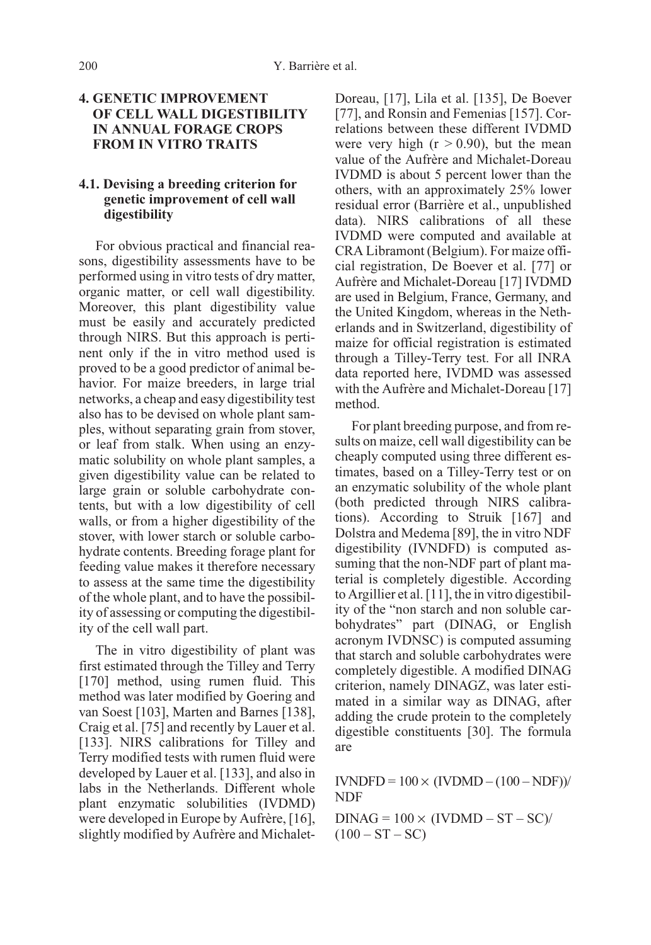## 4. GENETIC IMPROVEMENT OF CELL WALL DIGESTIBILITY IN ANNUAL FORAGE CROPS FROM IN VITRO TRAITS

# 4.1. Devising a breeding criterion for genetic improvement of cell wall digestibility

For obvious practical and financial reasons, digestibility assessments have to be performed using in vitro tests of dry matter, organic matter, or cell wall digestibility. Moreover, this plant digestibility value must be easily and accurately predicted through NIRS. But this approach is pertinent only if the in vitro method used is proved to be a good predictor of animal behavior. For maize breeders, in large trial networks, a cheap and easy digestibility test also has to be devised on whole plant samples, without separating grain from stover, or leaf from stalk. When using an enzymatic solubility on whole plant samples, a given digestibility value can be related to large grain or soluble carbohydrate contents, but with a low digestibility of cell walls, or from a higher digestibility of the stover, with lower starch or soluble carbohydrate contents. Breeding forage plant for feeding value makes it therefore necessary to assess at the same time the digestibility of the whole plant, and to have the possibility of assessing or computing the digestibility of the cell wall part.

The in vitro digestibility of plant was first estimated through the Tilley and Terry [170] method, using rumen fluid. This method was later modified by Goering and van Soest [103], Marten and Barnes [138], Craig et al. [75] and recently by Lauer et al. [133]. NIRS calibrations for Tilley and Terry modified tests with rumen fluid were developed by Lauer et al. [133], and also in labs in the Netherlands. Different whole plant enzymatic solubilities (IVDMD) were developed in Europe by Aufrère, [16], slightly modified by Aufrère and MichaletDoreau, [17], Lila et al. [135], De Boever [77], and Ronsin and Femenias [157]. Correlations between these different IVDMD were very high  $(r > 0.90)$ , but the mean value of the Aufrère and Michalet-Doreau IVDMD is about 5 percent lower than the others, with an approximately 25% lower residual error (Barrière et al., unpublished data). NIRS calibrations of all these IVDMD were computed and available at CRA Libramont (Belgium). For maize official registration, De Boever et al. [77] or Aufrère and Michalet-Doreau [17] IVDMD are used in Belgium, France, Germany, and the United Kingdom, whereas in the Netherlands and in Switzerland, digestibility of maize for official registration is estimated through a Tilley-Terry test. For all INRA data reported here, IVDMD was assessed with the Aufrère and Michalet-Doreau [17] method.

For plant breeding purpose, and from results on maize, cell wall digestibility can be cheaply computed using three different estimates, based on a Tilley-Terry test or on an enzymatic solubility of the whole plant (both predicted through NIRS calibrations). According to Struik [167] and Dolstra and Medema [89], the in vitro NDF digestibility (IVNDFD) is computed assuming that the non-NDF part of plant material is completely digestible. According to Argillier et al. [11], the in vitro digestibility of the "non starch and non soluble carbohydrates" part (DINAG, or English acronym IVDNSC) is computed assuming that starch and soluble carbohydrates were completely digestible. A modified DINAG criterion, namely DINAGZ, was later estimated in a similar way as DINAG, after adding the crude protein to the completely digestible constituents [30]. The formula are

 $IVNDFD = 100 \times (IVDMD - (100 - NDF))$ NDF

 $DINAG = 100 \times (IVDMD - ST - SC)$  $(100 - ST - SC)$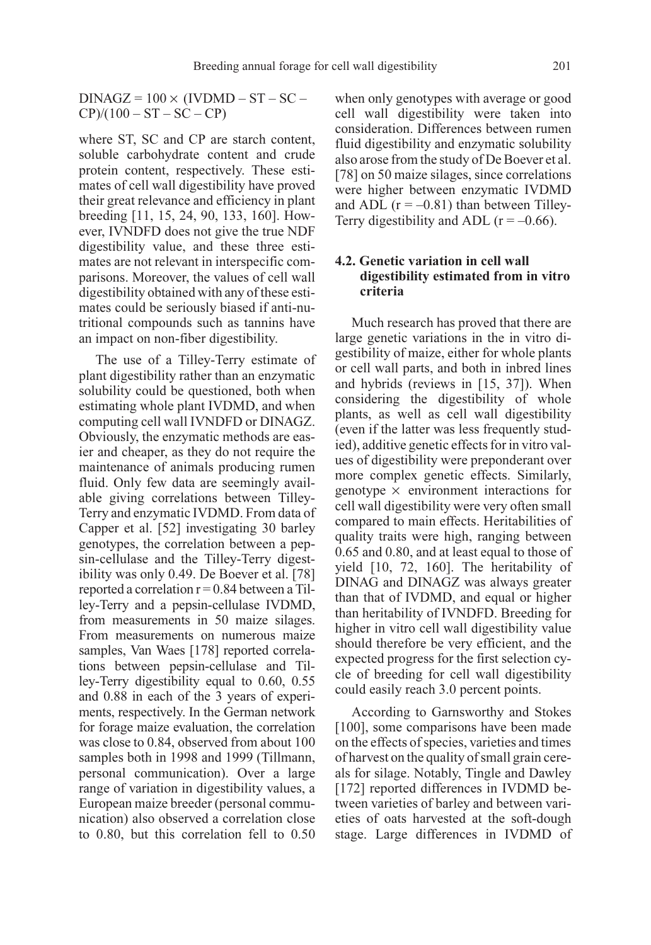$DINAGZ = 100 \times (IVDMD - ST - SC CP)/(100 - ST - SC - CP)$ 

where ST, SC and CP are starch content, soluble carbohydrate content and crude protein content, respectively. These estimates of cell wall digestibility have proved their great relevance and efficiency in plant breeding [11, 15, 24, 90, 133, 160]. However, IVNDFD does not give the true NDF digestibility value, and these three estimates are not relevant in interspecific comparisons. Moreover, the values of cell wall digestibility obtained with any of these estimates could be seriously biased if anti-nutritional compounds such as tannins have an impact on non-fiber digestibility.

The use of a Tilley-Terry estimate of plant digestibility rather than an enzymatic solubility could be questioned, both when estimating whole plant IVDMD, and when computing cell wall IVNDFD or DINAGZ. Obviously, the enzymatic methods are easier and cheaper, as they do not require the maintenance of animals producing rumen fluid. Only few data are seemingly available giving correlations between Tilley-Terry and enzymatic IVDMD. From data of Capper et al. [52] investigating 30 barley genotypes, the correlation between a pepsin-cellulase and the Tilley-Terry digestibility was only 0.49. De Boever et al. [78] reported a correlation  $r = 0.84$  between a Tilley-Terry and a pepsin-cellulase IVDMD, from measurements in 50 maize silages. From measurements on numerous maize samples, Van Waes [178] reported correlations between pepsin-cellulase and Tilley-Terry digestibility equal to 0.60, 0.55 and 0.88 in each of the 3 years of experiments, respectively. In the German network for forage maize evaluation, the correlation was close to 0.84, observed from about 100 samples both in 1998 and 1999 (Tillmann, personal communication). Over a large range of variation in digestibility values, a European maize breeder (personal communication) also observed a correlation close to 0.80, but this correlation fell to 0.50 when only genotypes with average or good cell wall digestibility were taken into consideration. Differences between rumen fluid digestibility and enzymatic solubility also arose from the study of De Boever et al. [78] on 50 maize silages, since correlations were higher between enzymatic IVDMD and ADL  $(r = -0.81)$  than between Tilley-Terry digestibility and ADL ( $r = -0.66$ ).

#### 4.2. Genetic variation in cell wall digestibility estimated from in vitro criteria

Much research has proved that there are large genetic variations in the in vitro digestibility of maize, either for whole plants or cell wall parts, and both in inbred lines and hybrids (reviews in [15, 37]). When considering the digestibility of whole plants, as well as cell wall digestibility (even if the latter was less frequently studied), additive genetic effects for in vitro values of digestibility were preponderant over more complex genetic effects. Similarly, genotype  $\times$  environment interactions for cell wall digestibility were very often small compared to main effects. Heritabilities of quality traits were high, ranging between 0.65 and 0.80, and at least equal to those of yield [10, 72, 160]. The heritability of DINAG and DINAGZ was always greater than that of IVDMD, and equal or higher than heritability of IVNDFD. Breeding for higher in vitro cell wall digestibility value should therefore be very efficient, and the expected progress for the first selection cycle of breeding for cell wall digestibility could easily reach 3.0 percent points.

According to Garnsworthy and Stokes [100], some comparisons have been made on the effects of species, varieties and times of harvest on the quality of small grain cereals for silage. Notably, Tingle and Dawley [172] reported differences in IVDMD between varieties of barley and between varieties of oats harvested at the soft-dough stage. Large differences in IVDMD of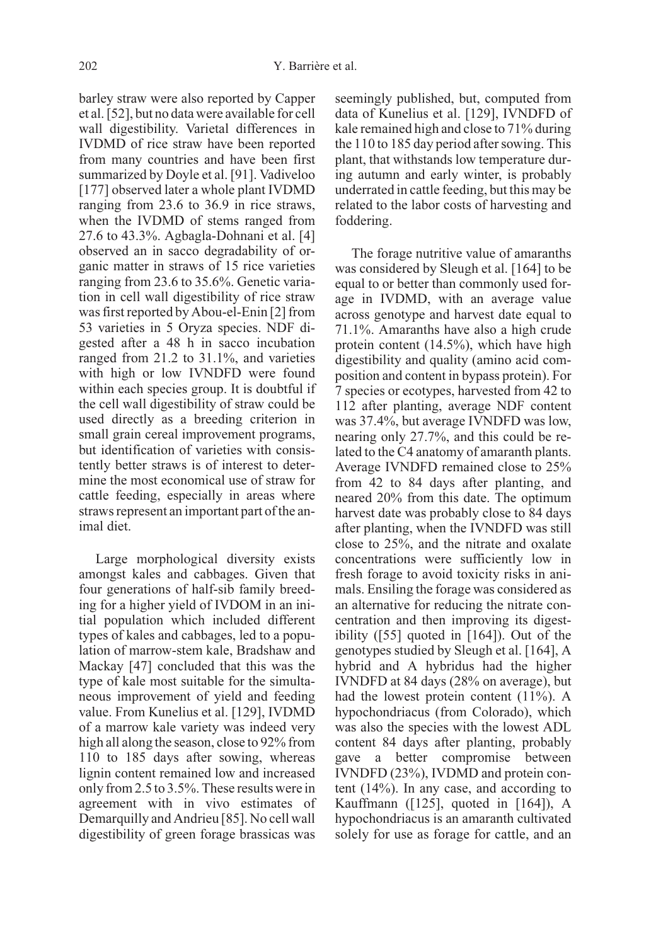barley straw were also reported by Capper et al. [52], but no data were available for cell wall digestibility. Varietal differences in IVDMD of rice straw have been reported from many countries and have been first summarized by Doyle et al. [91]. Vadiveloo [177] observed later a whole plant IVDMD ranging from 23.6 to 36.9 in rice straws, when the IVDMD of stems ranged from 27.6 to 43.3%. Agbagla-Dohnani et al. [4] observed an in sacco degradability of organic matter in straws of 15 rice varieties ranging from 23.6 to 35.6%. Genetic variation in cell wall digestibility of rice straw was first reported by Abou-el-Enin [2] from 53 varieties in 5 Oryza species. NDF digested after a 48 h in sacco incubation ranged from 21.2 to 31.1%, and varieties with high or low IVNDFD were found within each species group. It is doubtful if the cell wall digestibility of straw could be used directly as a breeding criterion in small grain cereal improvement programs, but identification of varieties with consistently better straws is of interest to determine the most economical use of straw for cattle feeding, especially in areas where straws represent an important part of the animal diet.

Large morphological diversity exists amongst kales and cabbages. Given that four generations of half-sib family breeding for a higher yield of IVDOM in an initial population which included different types of kales and cabbages, led to a population of marrow-stem kale, Bradshaw and Mackay [47] concluded that this was the type of kale most suitable for the simultaneous improvement of yield and feeding value. From Kunelius et al. [129], IVDMD of a marrow kale variety was indeed very high all along the season, close to 92% from 110 to 185 days after sowing, whereas lignin content remained low and increased only from 2.5 to 3.5%. These results were in agreement with in vivo estimates of Demarquilly and Andrieu [85]. No cell wall digestibility of green forage brassicas was seemingly published, but, computed from data of Kunelius et al. [129], IVNDFD of kale remained high and close to 71% during the 110 to 185 day period after sowing. This plant, that withstands low temperature during autumn and early winter, is probably underrated in cattle feeding, but this may be related to the labor costs of harvesting and foddering.

The forage nutritive value of amaranths was considered by Sleugh et al. [164] to be equal to or better than commonly used forage in IVDMD, with an average value across genotype and harvest date equal to 71.1%. Amaranths have also a high crude protein content (14.5%), which have high digestibility and quality (amino acid composition and content in bypass protein). For 7 species or ecotypes, harvested from 42 to 112 after planting, average NDF content was 37.4%, but average IVNDFD was low, nearing only 27.7%, and this could be related to the C4 anatomy of amaranth plants. Average IVNDFD remained close to 25% from 42 to 84 days after planting, and neared 20% from this date. The optimum harvest date was probably close to 84 days after planting, when the IVNDFD was still close to 25%, and the nitrate and oxalate concentrations were sufficiently low in fresh forage to avoid toxicity risks in animals. Ensiling the forage was considered as an alternative for reducing the nitrate concentration and then improving its digestibility ([55] quoted in [164]). Out of the genotypes studied by Sleugh et al. [164], A hybrid and A hybridus had the higher IVNDFD at 84 days (28% on average), but had the lowest protein content (11%). A hypochondriacus (from Colorado), which was also the species with the lowest ADL content 84 days after planting, probably gave a better compromise between IVNDFD (23%), IVDMD and protein content (14%). In any case, and according to Kauffmann ( $[125]$ , quoted in  $[164]$ ), A hypochondriacus is an amaranth cultivated solely for use as forage for cattle, and an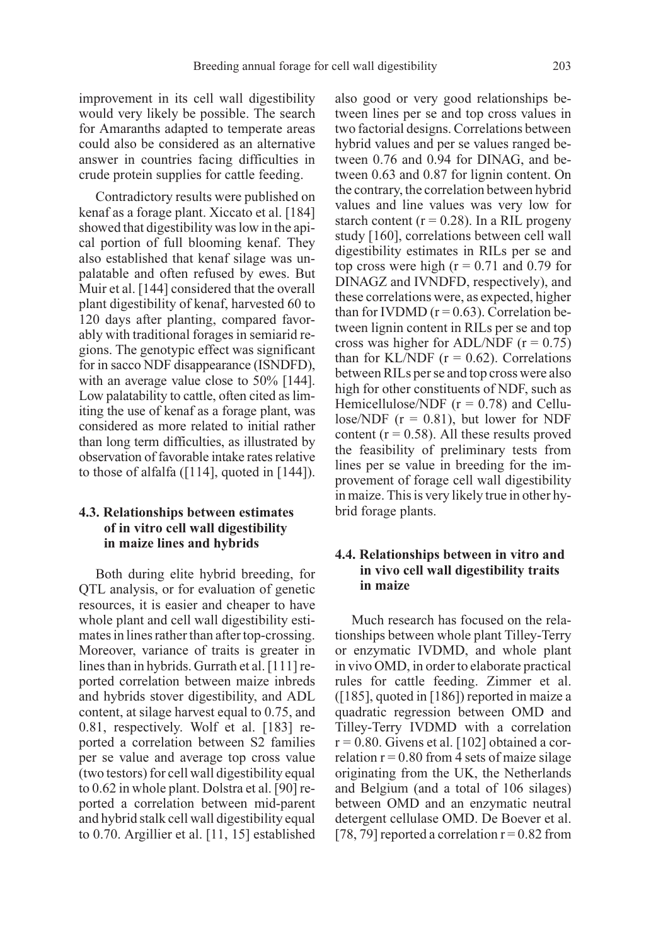improvement in its cell wall digestibility would very likely be possible. The search for Amaranths adapted to temperate areas could also be considered as an alternative answer in countries facing difficulties in crude protein supplies for cattle feeding.

Contradictory results were published on kenaf as a forage plant. Xiccato et al. [184] showed that digestibility was low in the apical portion of full blooming kenaf. They also established that kenaf silage was unpalatable and often refused by ewes. But Muir et al. [144] considered that the overall plant digestibility of kenaf, harvested 60 to 120 days after planting, compared favorably with traditional forages in semiarid regions. The genotypic effect was significant for in sacco NDF disappearance (ISNDFD), with an average value close to 50% [144]. Low palatability to cattle, often cited as limiting the use of kenaf as a forage plant, was considered as more related to initial rather than long term difficulties, as illustrated by observation of favorable intake rates relative to those of alfalfa ([114], quoted in [144]).

# 4.3. Relationships between estimates of in vitro cell wall digestibility in maize lines and hybrids

Both during elite hybrid breeding, for QTL analysis, or for evaluation of genetic resources, it is easier and cheaper to have whole plant and cell wall digestibility estimates in lines rather than after top-crossing. Moreover, variance of traits is greater in lines than in hybrids. Gurrath et al. [111] reported correlation between maize inbreds and hybrids stover digestibility, and ADL content, at silage harvest equal to 0.75, and 0.81, respectively. Wolf et al. [183] reported a correlation between S2 families per se value and average top cross value (two testors) for cell wall digestibility equal to 0.62 in whole plant. Dolstra et al. [90] reported a correlation between mid-parent and hybrid stalk cell wall digestibility equal to 0.70. Argillier et al. [11, 15] established also good or very good relationships between lines per se and top cross values in two factorial designs. Correlations between hybrid values and per se values ranged between 0.76 and 0.94 for DINAG, and between 0.63 and 0.87 for lignin content. On the contrary, the correlation between hybrid values and line values was very low for starch content ( $r = 0.28$ ). In a RIL progeny study [160], correlations between cell wall digestibility estimates in RILs per se and top cross were high ( $r = 0.71$  and 0.79 for DINAGZ and IVNDFD, respectively), and these correlations were, as expected, higher than for IVDMD ( $r = 0.63$ ). Correlation between lignin content in RILs per se and top cross was higher for ADL/NDF  $(r = 0.75)$ than for KL/NDF  $(r = 0.62)$ . Correlations between RILs per se and top cross were also high for other constituents of NDF, such as Hemicellulose/NDF  $(r = 0.78)$  and Cellulose/NDF  $(r = 0.81)$ , but lower for NDF content ( $r = 0.58$ ). All these results proved the feasibility of preliminary tests from lines per se value in breeding for the improvement of forage cell wall digestibility in maize. This is very likely true in other hybrid forage plants.

#### 4.4. Relationships between in vitro and in vivo cell wall digestibility traits in maize

Much research has focused on the relationships between whole plant Tilley-Terry or enzymatic IVDMD, and whole plant in vivo OMD, in order to elaborate practical rules for cattle feeding. Zimmer et al. ([185], quoted in [186]) reported in maize a quadratic regression between OMD and Tilley-Terry IVDMD with a correlation  $r = 0.80$ . Givens et al. [102] obtained a correlation  $r = 0.80$  from 4 sets of maize silage originating from the UK, the Netherlands and Belgium (and a total of 106 silages) between OMD and an enzymatic neutral detergent cellulase OMD. De Boever et al. [78, 79] reported a correlation  $r = 0.82$  from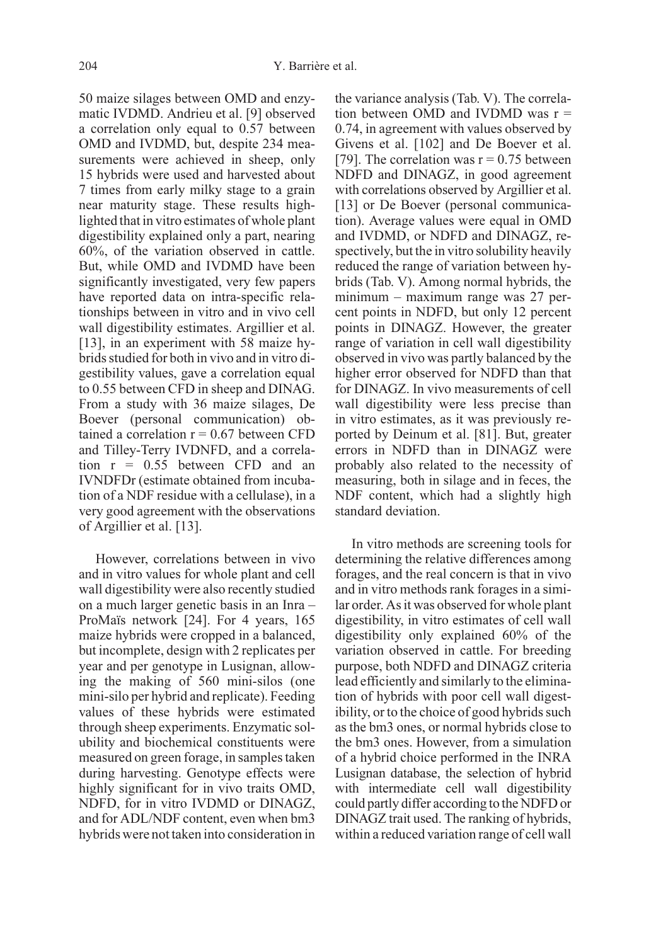50 maize silages between OMD and enzymatic IVDMD. Andrieu et al. [9] observed a correlation only equal to 0.57 between OMD and IVDMD, but, despite 234 measurements were achieved in sheep, only 15 hybrids were used and harvested about 7 times from early milky stage to a grain near maturity stage. These results highlighted that in vitro estimates of whole plant digestibility explained only a part, nearing 60%, of the variation observed in cattle. But, while OMD and IVDMD have been significantly investigated, very few papers have reported data on intra-specific relationships between in vitro and in vivo cell wall digestibility estimates. Argillier et al. [13], in an experiment with 58 maize hybrids studied for both in vivo and in vitro digestibility values, gave a correlation equal to 0.55 between CFD in sheep and DINAG. From a study with 36 maize silages, De Boever (personal communication) obtained a correlation  $r = 0.67$  between CFD and Tilley-Terry IVDNFD, and a correlation r = 0.55 between CFD and an IVNDFDr (estimate obtained from incubation of a NDF residue with a cellulase), in a very good agreement with the observations of Argillier et al. [13].

However, correlations between in vivo and in vitro values for whole plant and cell wall digestibility were also recently studied on a much larger genetic basis in an Inra – ProMaïs network [24]. For 4 years, 165 maize hybrids were cropped in a balanced, but incomplete, design with 2 replicates per year and per genotype in Lusignan, allowing the making of 560 mini-silos (one mini-silo per hybrid and replicate). Feeding values of these hybrids were estimated through sheep experiments. Enzymatic solubility and biochemical constituents were measured on green forage, in samples taken during harvesting. Genotype effects were highly significant for in vivo traits OMD, NDFD, for in vitro IVDMD or DINAGZ, and for ADL/NDF content, even when bm3 hybrids were not taken into consideration in the variance analysis (Tab. V). The correlation between OMD and IVDMD was  $r =$ 0.74, in agreement with values observed by Givens et al. [102] and De Boever et al. [79]. The correlation was  $r = 0.75$  between NDFD and DINAGZ, in good agreement with correlations observed by Argillier et al. [13] or De Boever (personal communication). Average values were equal in OMD and IVDMD, or NDFD and DINAGZ, respectively, but the in vitro solubility heavily reduced the range of variation between hybrids (Tab. V). Among normal hybrids, the minimum – maximum range was 27 percent points in NDFD, but only 12 percent points in DINAGZ. However, the greater range of variation in cell wall digestibility observed in vivo was partly balanced by the higher error observed for NDFD than that for DINAGZ. In vivo measurements of cell wall digestibility were less precise than in vitro estimates, as it was previously reported by Deinum et al. [81]. But, greater errors in NDFD than in DINAGZ were probably also related to the necessity of measuring, both in silage and in feces, the NDF content, which had a slightly high standard deviation.

In vitro methods are screening tools for determining the relative differences among forages, and the real concern is that in vivo and in vitro methods rank forages in a similar order. As it was observed for whole plant digestibility, in vitro estimates of cell wall digestibility only explained 60% of the variation observed in cattle. For breeding purpose, both NDFD and DINAGZ criteria lead efficiently and similarly to the elimination of hybrids with poor cell wall digestibility, or to the choice of good hybrids such as the bm3 ones, or normal hybrids close to the bm3 ones. However, from a simulation of a hybrid choice performed in the INRA Lusignan database, the selection of hybrid with intermediate cell wall digestibility could partly differ according to the NDFD or DINAGZ trait used. The ranking of hybrids, within a reduced variation range of cell wall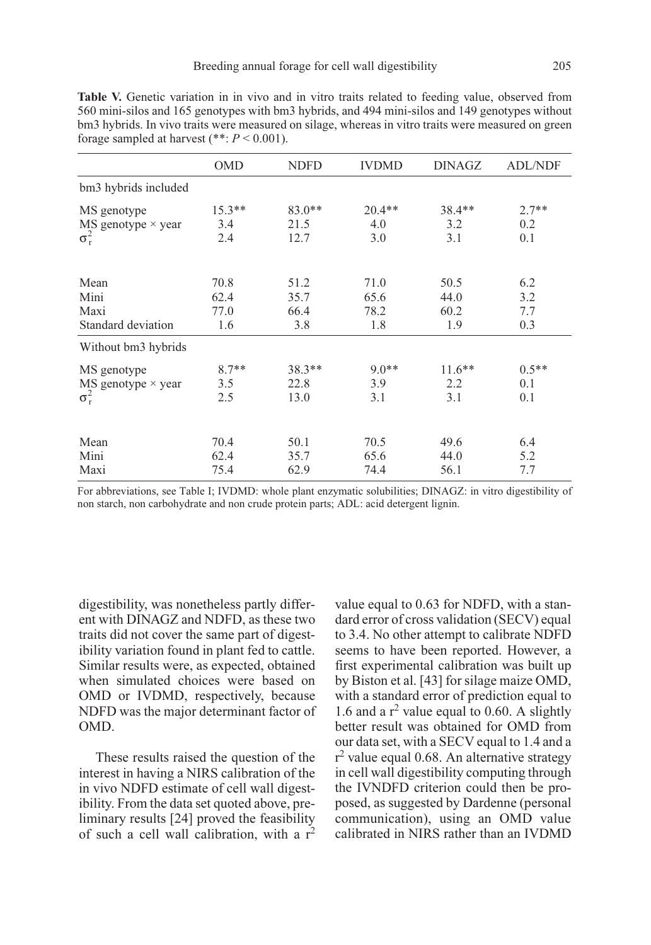| forage sampled at harvest $(**: P < 0.001)$ . |                 |                  |                 |               |                |  |  |
|-----------------------------------------------|-----------------|------------------|-----------------|---------------|----------------|--|--|
|                                               | <b>OMD</b>      | <b>NDFD</b>      | <b>IVDMD</b>    | <b>DINAGZ</b> | <b>ADL/NDF</b> |  |  |
| bm <sub>3</sub> hybrids included              |                 |                  |                 |               |                |  |  |
| MS genotype<br>$MS$ genotype $\times$ year    | $15.3**$<br>3.4 | $83.0**$<br>21.5 | $20.4**$<br>4.0 | 38.4**<br>3.2 | $2.7**$<br>0.2 |  |  |
| $\sigma_r^2$                                  | 2.4             | 12.7             | 3.0             | 3.1           | 0.1            |  |  |
| Mean                                          | 70.8            | 51.2             | 71.0            | 50.5          | 6.2            |  |  |
| Mini                                          | 62.4            | 35.7             | 65.6            | 44.0          | 3.2            |  |  |
| Maxi                                          | 77.0            | 66.4             | 78.2            | 60.2          | 7.7            |  |  |
| Standard deviation                            | 1.6             | 3.8              | 1.8             | 1.9           | 0.3            |  |  |
| Without bm3 hybrids                           |                 |                  |                 |               |                |  |  |
| MS genotype                                   | $8.7**$         | 38.3**           | $9.0**$         | $11.6***$     | $0.5**$        |  |  |
| $MS$ genotype $\times$ year                   | 3.5             | 22.8             | 3.9             | 2.2           | 0.1            |  |  |
| $\sigma_{\rm r}^2$                            | 2.5             | 13.0             | 3.1             | 3.1           | 0.1            |  |  |
| Mean                                          | 70.4            | 50.1             | 70.5            | 49.6          | 6.4            |  |  |
| Mini                                          | 62.4            | 35.7             | 65.6            | 44.0          | 5.2            |  |  |
|                                               |                 |                  |                 |               |                |  |  |
| Maxi                                          | 75.4            | 62.9             | 74.4            | 56.1          | 7.7            |  |  |

Table V. Genetic variation in in vivo and in vitro traits related to feeding value, observed from 560 mini-silos and 165 genotypes with bm3 hybrids, and 494 mini-silos and 149 genotypes without bm3 hybrids. In vivo traits were measured on silage, whereas in vitro traits were measured on green forage sampled at harvest  $(*: P < 0.001)$ .

For abbreviations, see Table I; IVDMD: whole plant enzymatic solubilities; DINAGZ: in vitro digestibility of non starch, non carbohydrate and non crude protein parts; ADL: acid detergent lignin.

digestibility, was nonetheless partly different with DINAGZ and NDFD, as these two traits did not cover the same part of digestibility variation found in plant fed to cattle. Similar results were, as expected, obtained when simulated choices were based on OMD or IVDMD, respectively, because NDFD was the major determinant factor of OMD.

These results raised the question of the interest in having a NIRS calibration of the in vivo NDFD estimate of cell wall digestibility. From the data set quoted above, preliminary results [24] proved the feasibility of such a cell wall calibration, with a  $r^2$ 

value equal to 0.63 for NDFD, with a standard error of cross validation (SECV) equal to 3.4. No other attempt to calibrate NDFD seems to have been reported. However, a first experimental calibration was built up by Biston et al. [43] for silage maize OMD, with a standard error of prediction equal to 1.6 and a  $r^2$  value equal to 0.60. A slightly better result was obtained for OMD from our data set, with a SECV equal to 1.4 and a r <sup>2</sup> value equal 0.68. An alternative strategy in cell wall digestibility computing through the IVNDFD criterion could then be proposed, as suggested by Dardenne (personal communication), using an OMD value calibrated in NIRS rather than an IVDMD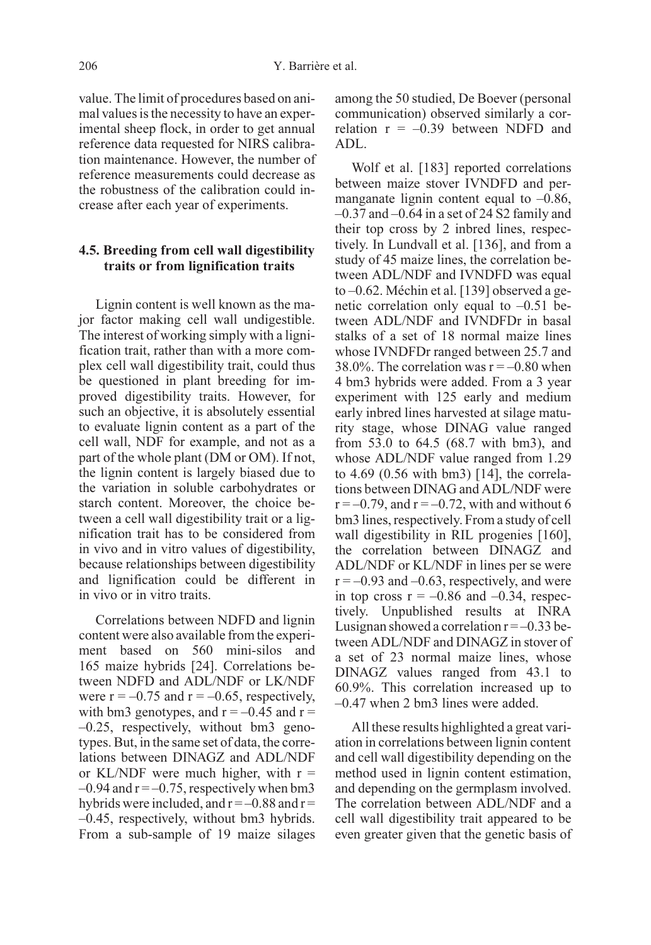value. The limit of procedures based on animal values is the necessity to have an experimental sheep flock, in order to get annual reference data requested for NIRS calibration maintenance. However, the number of reference measurements could decrease as the robustness of the calibration could increase after each year of experiments.

#### 4.5. Breeding from cell wall digestibility traits or from lignification traits

Lignin content is well known as the major factor making cell wall undigestible. The interest of working simply with a lignification trait, rather than with a more complex cell wall digestibility trait, could thus be questioned in plant breeding for improved digestibility traits. However, for such an objective, it is absolutely essential to evaluate lignin content as a part of the cell wall, NDF for example, and not as a part of the whole plant (DM or OM). If not, the lignin content is largely biased due to the variation in soluble carbohydrates or starch content. Moreover, the choice between a cell wall digestibility trait or a lignification trait has to be considered from in vivo and in vitro values of digestibility, because relationships between digestibility and lignification could be different in in vivo or in vitro traits.

Correlations between NDFD and lignin content were also available from the experiment based on 560 mini-silos and 165 maize hybrids [24]. Correlations between NDFD and ADL/NDF or LK/NDF were  $r = -0.75$  and  $r = -0.65$ , respectively, with bm3 genotypes, and  $r = -0.45$  and  $r =$ –0.25, respectively, without bm3 genotypes. But, in the same set of data, the correlations between DINAGZ and ADL/NDF or KL/NDF were much higher, with  $r =$  $-0.94$  and  $r = -0.75$ , respectively when bm3 hybrids were included, and  $r = -0.88$  and  $r =$ –0.45, respectively, without bm3 hybrids. From a sub-sample of 19 maize silages

among the 50 studied, De Boever (personal communication) observed similarly a correlation  $r = -0.39$  between NDFD and ADL.

Wolf et al. [183] reported correlations between maize stover IVNDFD and permanganate lignin content equal to  $-0.86$ ,  $-0.37$  and  $-0.64$  in a set of 24 S2 family and their top cross by 2 inbred lines, respectively. In Lundvall et al. [136], and from a study of 45 maize lines, the correlation between ADL/NDF and IVNDFD was equal to –0.62. Méchin et al. [139] observed a genetic correlation only equal to –0.51 between ADL/NDF and IVNDFDr in basal stalks of a set of 18 normal maize lines whose IVNDFDr ranged between 25.7 and 38.0%. The correlation was  $r = -0.80$  when 4 bm3 hybrids were added. From a 3 year experiment with 125 early and medium early inbred lines harvested at silage maturity stage, whose DINAG value ranged from 53.0 to 64.5 (68.7 with bm3), and whose ADL/NDF value ranged from 1.29 to 4.69 (0.56 with bm3) [14], the correlations between DINAG and ADL/NDF were  $r = -0.79$ , and  $r = -0.72$ , with and without 6 bm3 lines, respectively. From a study of cell wall digestibility in RIL progenies [160], the correlation between DINAGZ and ADL/NDF or KL/NDF in lines per se were  $r = -0.93$  and  $-0.63$ , respectively, and were in top cross  $r = -0.86$  and  $-0.34$ , respectively. Unpublished results at INRA Lusignan showed a correlation  $r = -0.33$  between ADL/NDF and DINAGZ in stover of a set of 23 normal maize lines, whose DINAGZ values ranged from 43.1 to 60.9%. This correlation increased up to –0.47 when 2 bm3 lines were added.

All these results highlighted a great variation in correlations between lignin content and cell wall digestibility depending on the method used in lignin content estimation, and depending on the germplasm involved. The correlation between ADL/NDF and a cell wall digestibility trait appeared to be even greater given that the genetic basis of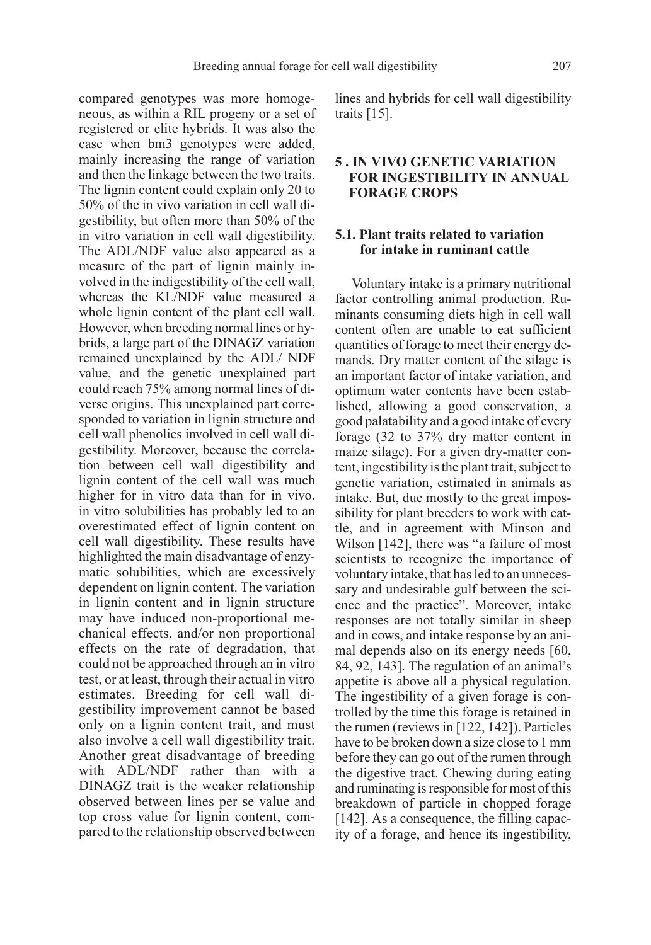compared genotypes was more homogeneous, as within a RIL progeny or a set of registered or elite hybrids. It was also the case when bm3 genotypes were added, mainly increasing the range of variation and then the linkage between the two traits. The lignin content could explain only 20 to 50% of the in vivo variation in cell wall digestibility, but often more than 50% of the in vitro variation in cell wall digestibility. The ADL/NDF value also appeared as a measure of the part of lignin mainly involved in the indigestibility of the cell wall, whereas the KL/NDF value measured a whole lignin content of the plant cell wall. However, when breeding normal lines or hybrids, a large part of the DINAGZ variation remained unexplained by the ADL/ NDF value, and the genetic unexplained part could reach 75% among normal lines of diverse origins. This unexplained part corresponded to variation in lignin structure and cell wall phenolics involved in cell wall digestibility. Moreover, because the correlation between cell wall digestibility and lignin content of the cell wall was much higher for in vitro data than for in vivo, in vitro solubilities has probably led to an overestimated effect of lignin content on cell wall digestibility. These results have highlighted the main disadvantage of enzymatic solubilities, which are excessively dependent on lignin content. The variation in lignin content and in lignin structure may have induced non-proportional mechanical effects, and/or non proportional effects on the rate of degradation, that could not be approached through an in vitro test, or at least, through their actual in vitro estimates. Breeding for cell wall digestibility improvement cannot be based only on a lignin content trait, and must also involve a cell wall digestibility trait. Another great disadvantage of breeding with ADL/NDF rather than with a DINAGZ trait is the weaker relationship observed between lines per se value and top cross value for lignin content, compared to the relationship observed between lines and hybrids for cell wall digestibility traits [15].

# 5 . IN VIVO GENETIC VARIATION FOR INGESTIBILITY IN ANNUAL FORAGE CROPS

#### 5.1. Plant traits related to variation for intake in ruminant cattle

Voluntary intake is a primary nutritional factor controlling animal production. Ruminants consuming diets high in cell wall content often are unable to eat sufficient quantities of forage to meet their energy demands. Dry matter content of the silage is an important factor of intake variation, and optimum water contents have been established, allowing a good conservation, a good palatability and a good intake of every forage (32 to 37% dry matter content in maize silage). For a given dry-matter content, ingestibility is the plant trait, subject to genetic variation, estimated in animals as intake. But, due mostly to the great impossibility for plant breeders to work with cattle, and in agreement with Minson and Wilson [142], there was "a failure of most" scientists to recognize the importance of voluntary intake, that has led to an unnecessary and undesirable gulf between the science and the practice". Moreover, intake responses are not totally similar in sheep and in cows, and intake response by an animal depends also on its energy needs [60, 84, 92, 143]. The regulation of an animal's appetite is above all a physical regulation. The ingestibility of a given forage is controlled by the time this forage is retained in the rumen (reviews in [122, 142]). Particles have to be broken down a size close to 1 mm before they can go out of the rumen through the digestive tract. Chewing during eating and ruminating is responsible for most of this breakdown of particle in chopped forage [142]. As a consequence, the filling capacity of a forage, and hence its ingestibility,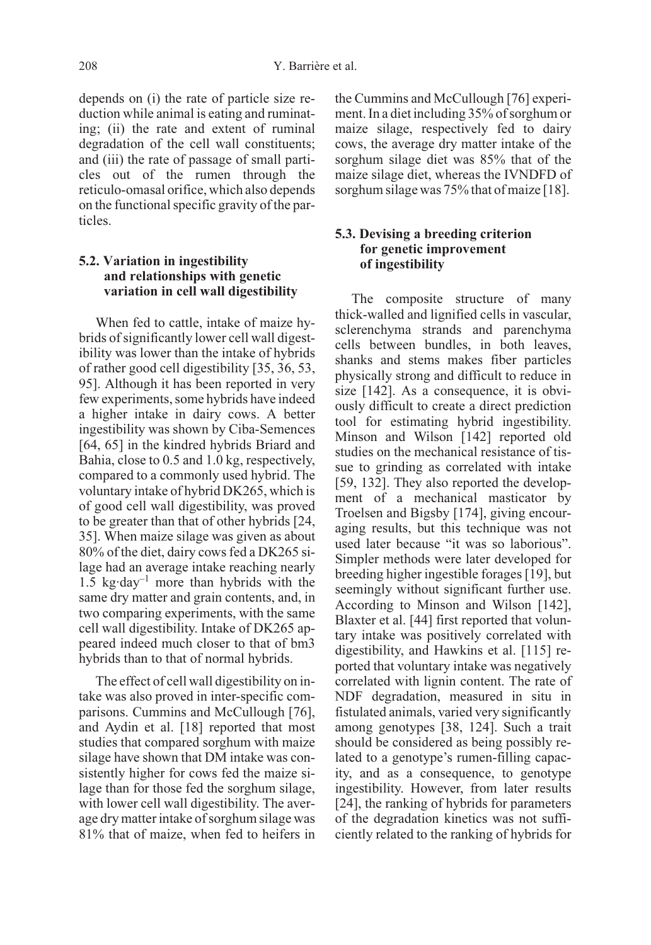depends on (i) the rate of particle size reduction while animal is eating and ruminating; (ii) the rate and extent of ruminal degradation of the cell wall constituents; and (iii) the rate of passage of small particles out of the rumen through the reticulo-omasal orifice, which also depends on the functional specific gravity of the particles.

#### 5.2. Variation in ingestibility and relationships with genetic variation in cell wall digestibility

When fed to cattle, intake of maize hybrids of significantly lower cell wall digestibility was lower than the intake of hybrids of rather good cell digestibility [35, 36, 53, 95]. Although it has been reported in very few experiments, some hybrids have indeed a higher intake in dairy cows. A better ingestibility was shown by Ciba-Semences [64, 65] in the kindred hybrids Briard and Bahia, close to 0.5 and 1.0 kg, respectively, compared to a commonly used hybrid. The voluntary intake of hybrid DK265, which is of good cell wall digestibility, was proved to be greater than that of other hybrids [24, 35]. When maize silage was given as about 80% of the diet, dairy cows fed a DK265 silage had an average intake reaching nearly 1.5 kg·day<sup>-1</sup> more than hybrids with the same dry matter and grain contents, and, in two comparing experiments, with the same cell wall digestibility. Intake of DK265 appeared indeed much closer to that of bm3 hybrids than to that of normal hybrids.

The effect of cell wall digestibility on intake was also proved in inter-specific comparisons. Cummins and McCullough [76], and Aydin et al. [18] reported that most studies that compared sorghum with maize silage have shown that DM intake was consistently higher for cows fed the maize silage than for those fed the sorghum silage, with lower cell wall digestibility. The average dry matter intake of sorghum silage was 81% that of maize, when fed to heifers in the Cummins and McCullough [76] experiment. In a diet including 35% of sorghum or maize silage, respectively fed to dairy cows, the average dry matter intake of the sorghum silage diet was 85% that of the maize silage diet, whereas the IVNDFD of sorghum silage was 75% that of maize [18].

#### 5.3. Devising a breeding criterion for genetic improvement of ingestibility

The composite structure of many thick-walled and lignified cells in vascular, sclerenchyma strands and parenchyma cells between bundles, in both leaves, shanks and stems makes fiber particles physically strong and difficult to reduce in size [142]. As a consequence, it is obviously difficult to create a direct prediction tool for estimating hybrid ingestibility. Minson and Wilson [142] reported old studies on the mechanical resistance of tissue to grinding as correlated with intake [59, 132]. They also reported the development of a mechanical masticator by Troelsen and Bigsby [174], giving encouraging results, but this technique was not used later because "it was so laborious". Simpler methods were later developed for breeding higher ingestible forages [19], but seemingly without significant further use. According to Minson and Wilson [142], Blaxter et al. [44] first reported that voluntary intake was positively correlated with digestibility, and Hawkins et al. [115] reported that voluntary intake was negatively correlated with lignin content. The rate of NDF degradation, measured in situ in fistulated animals, varied very significantly among genotypes [38, 124]. Such a trait should be considered as being possibly related to a genotype's rumen-filling capacity, and as a consequence, to genotype ingestibility. However, from later results [24], the ranking of hybrids for parameters of the degradation kinetics was not sufficiently related to the ranking of hybrids for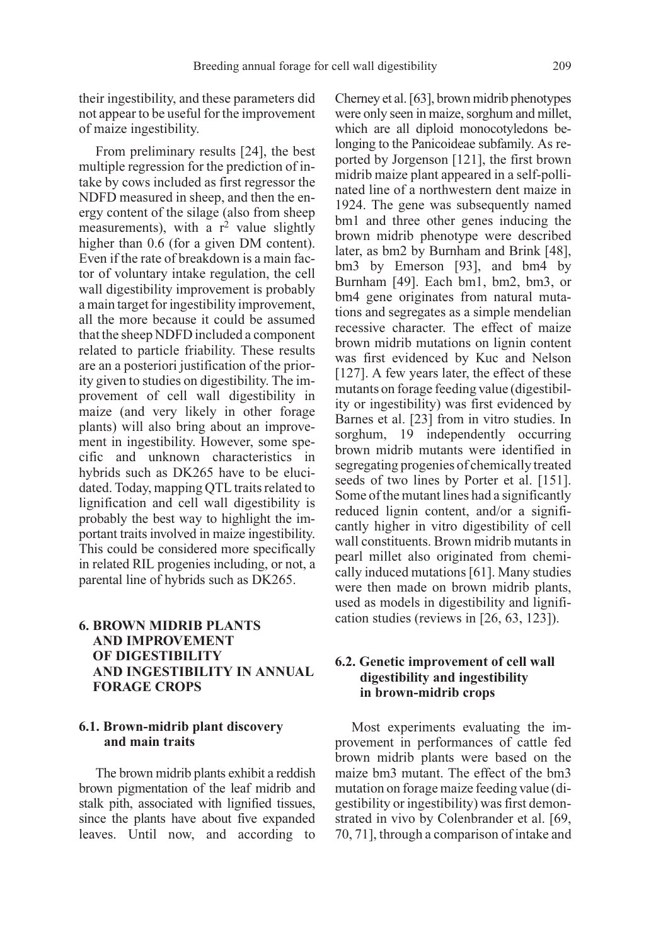their ingestibility, and these parameters did not appear to be useful for the improvement of maize ingestibility.

From preliminary results [24], the best multiple regression for the prediction of intake by cows included as first regressor the NDFD measured in sheep, and then the energy content of the silage (also from sheep measurements), with a  $r^2$  value slightly higher than 0.6 (for a given DM content). Even if the rate of breakdown is a main factor of voluntary intake regulation, the cell wall digestibility improvement is probably a main target for ingestibility improvement, all the more because it could be assumed that the sheep NDFD included a component related to particle friability. These results are an a posteriori justification of the priority given to studies on digestibility. The improvement of cell wall digestibility in maize (and very likely in other forage plants) will also bring about an improvement in ingestibility. However, some specific and unknown characteristics in hybrids such as DK265 have to be elucidated. Today, mapping QTL traits related to lignification and cell wall digestibility is probably the best way to highlight the important traits involved in maize ingestibility. This could be considered more specifically in related RIL progenies including, or not, a parental line of hybrids such as DK265.

# 6. BROWN MIDRIB PLANTS AND IMPROVEMENT OF DIGESTIBILITY AND INGESTIBILITY IN ANNUAL FORAGE CROPS

#### 6.1. Brown-midrib plant discovery and main traits

The brown midrib plants exhibit a reddish brown pigmentation of the leaf midrib and stalk pith, associated with lignified tissues, since the plants have about five expanded leaves. Until now, and according to

Cherney et al. [63], brown midrib phenotypes were only seen in maize, sorghum and millet, which are all diploid monocotyledons belonging to the Panicoideae subfamily. As reported by Jorgenson [121], the first brown midrib maize plant appeared in a self-pollinated line of a northwestern dent maize in 1924. The gene was subsequently named bm1 and three other genes inducing the brown midrib phenotype were described later, as bm2 by Burnham and Brink [48], bm3 by Emerson [93], and bm4 by Burnham [49]. Each bm1, bm2, bm3, or bm4 gene originates from natural mutations and segregates as a simple mendelian recessive character. The effect of maize brown midrib mutations on lignin content was first evidenced by Kuc and Nelson [127]. A few years later, the effect of these mutants on forage feeding value (digestibility or ingestibility) was first evidenced by Barnes et al. [23] from in vitro studies. In sorghum, 19 independently occurring brown midrib mutants were identified in segregating progenies of chemically treated seeds of two lines by Porter et al. [151]. Some of the mutant lines had a significantly reduced lignin content, and/or a significantly higher in vitro digestibility of cell wall constituents. Brown midrib mutants in pearl millet also originated from chemically induced mutations [61]. Many studies were then made on brown midrib plants, used as models in digestibility and lignification studies (reviews in [26, 63, 123]).

#### 6.2. Genetic improvement of cell wall digestibility and ingestibility in brown-midrib crops

Most experiments evaluating the improvement in performances of cattle fed brown midrib plants were based on the maize bm3 mutant. The effect of the bm3 mutation on forage maize feeding value (digestibility or ingestibility) was first demonstrated in vivo by Colenbrander et al. [69, 70, 71], through a comparison of intake and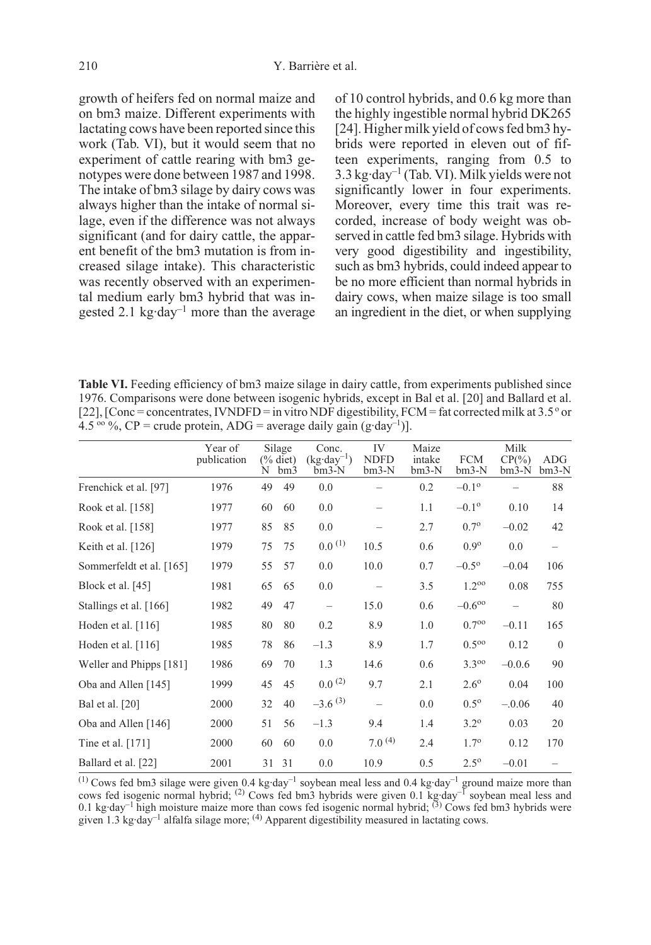growth of heifers fed on normal maize and on bm3 maize. Different experiments with lactating cows have been reported since this work (Tab. VI), but it would seem that no experiment of cattle rearing with bm3 genotypes were done between 1987 and 1998. The intake of bm3 silage by dairy cows was always higher than the intake of normal silage, even if the difference was not always significant (and for dairy cattle, the apparent benefit of the bm3 mutation is from increased silage intake). This characteristic was recently observed with an experimental medium early bm3 hybrid that was ingested 2.1 kg·day<sup>-1</sup> more than the average of 10 control hybrids, and 0.6 kg more than the highly ingestible normal hybrid DK265 [24]. Higher milk yield of cows fed bm3 hybrids were reported in eleven out of fifteen experiments, ranging from 0.5 to  $3.3 \text{ kg} \cdot \text{day}^{-1}$  (Tab. VI). Milk yields were not significantly lower in four experiments. Moreover, every time this trait was recorded, increase of body weight was observed in cattle fed bm3 silage. Hybrids with very good digestibility and ingestibility, such as bm3 hybrids, could indeed appear to be no more efficient than normal hybrids in dairy cows, when maize silage is too small an ingredient in the diet, or when supplying

Table VI. Feeding efficiency of bm3 maize silage in dairy cattle, from experiments published since 1976. Comparisons were done between isogenic hybrids, except in Bal et al. [20] and Ballard et al.  $[22]$ ,  $[Conc = 1]$  concentrates,  $IVNDFD = in$  vitro NDF digestibility,  $FCM =$  fat corrected milk at 3.5° or  $4.5\degree\%$ , CP = crude protein, ADG = average daily gain (g·day<sup>-1</sup>)].

|                          | Year of<br>publication | N  | Silage<br>$(\%$ diet)<br>bm3 | Conc.<br>$(kg \cdot day^{-1})$<br>$bm3-N$ | IV<br><b>NDFD</b><br>$bm3-N$ | Maize<br>intake<br>$bm3-N$ | <b>FCM</b><br>$bm3-N$ | Milk<br>$CP(\%)$<br>$bm3-N$ | ADG<br>$bm3-N$ |
|--------------------------|------------------------|----|------------------------------|-------------------------------------------|------------------------------|----------------------------|-----------------------|-----------------------------|----------------|
| Frenchick et al. [97]    | 1976                   | 49 | 49                           | 0.0                                       |                              | 0.2                        | $-0.1^{\circ}$        |                             | 88             |
| Rook et al. [158]        | 1977                   | 60 | 60                           | 0.0                                       |                              | 1.1                        | $-0.1^{\circ}$        | 0.10                        | 14             |
| Rook et al. [158]        | 1977                   | 85 | 85                           | 0.0                                       |                              | 2.7                        | $0.7^\circ$           | $-0.02$                     | 42             |
| Keith et al. $[126]$     | 1979                   | 75 | 75                           | 0.0(1)                                    | 10.5                         | 0.6                        | $0.9^{\circ}$         | 0.0                         |                |
| Sommerfeldt et al. [165] | 1979                   | 55 | 57                           | 0.0                                       | 10.0                         | 0.7                        | $-0.5^{\circ}$        | $-0.04$                     | 106            |
| Block et al. [45]        | 1981                   | 65 | 65                           | 0.0                                       |                              | 3.5                        | $1.2^{00}$            | 0.08                        | 755            |
| Stallings et al. [166]   | 1982                   | 49 | 47                           | $\qquad \qquad -$                         | 15.0                         | 0.6                        | $-0.600$              |                             | 80             |
| Hoden et al. $[116]$     | 1985                   | 80 | 80                           | 0.2                                       | 8.9                          | 1.0                        | 0.7 <sup>00</sup>     | $-0.11$                     | 165            |
| Hoden et al. [116]       | 1985                   | 78 | 86                           | $-1.3$                                    | 8.9                          | 1.7                        | $0.5^{00}$            | 0.12                        | $\mathbf{0}$   |
| Weller and Phipps [181]  | 1986                   | 69 | 70                           | 1.3                                       | 14.6                         | 0.6                        | $3.3^{00}$            | $-0.0.6$                    | 90             |
| Oba and Allen [145]      | 1999                   | 45 | 45                           | 0.0 <sup>(2)</sup>                        | 9.7                          | 2.1                        | $2.6^{\circ}$         | 0.04                        | 100            |
| Bal et al. [20]          | 2000                   | 32 | 40                           | $-3.6^{(3)}$                              |                              | 0.0                        | $0.5^\circ$           | $-.0.06$                    | 40             |
| Oba and Allen [146]      | 2000                   | 51 | 56                           | $-1.3$                                    | 9.4                          | 1.4                        | $3.2^{\circ}$         | 0.03                        | 20             |
| Tine et al. [171]        | 2000                   | 60 | 60                           | 0.0                                       | $7.0^{(4)}$                  | 2.4                        | $1.7^{\circ}$         | 0.12                        | 170            |
| Ballard et al. [22]      | 2001                   | 31 | 31                           | 0.0                                       | 10.9                         | 0.5                        | $2.5^{\circ}$         | $-0.01$                     |                |

<sup>(1)</sup> Cows fed bm3 silage were given 0.4 kg·day<sup>-1</sup> soybean meal less and 0.4 kg·day<sup>-1</sup> ground maize more than cows fed isogenic normal hybrid; <sup>(2)</sup> Cows fed bm3 hybrids were given 0.1 kg·day<sup>-1</sup> soybean meal less and 0.1 kg·day<sup>-1</sup> high moisture maize more than cows fed isogenic normal hybrid; <sup>(3)</sup> Cows fed bm3 hybrids were given 1.3 kg·day<sup>-1</sup> alfalfa silage more; <sup>(4)</sup> Apparent digestibility measured in lactating cows.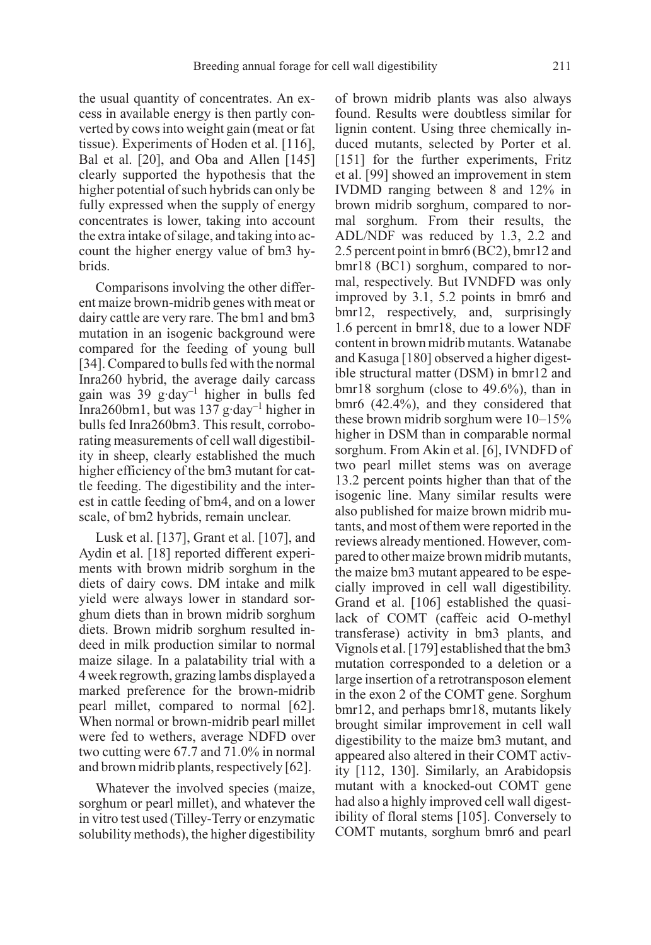the usual quantity of concentrates. An excess in available energy is then partly converted by cows into weight gain (meat or fat tissue). Experiments of Hoden et al. [116], Bal et al. [20], and Oba and Allen [145] clearly supported the hypothesis that the higher potential of such hybrids can only be fully expressed when the supply of energy concentrates is lower, taking into account the extra intake of silage, and taking into account the higher energy value of bm3 hybrids.

Comparisons involving the other different maize brown-midrib genes with meat or dairy cattle are very rare. The bm1 and bm3 mutation in an isogenic background were compared for the feeding of young bull [34]. Compared to bulls fed with the normal Inra260 hybrid, the average daily carcass gain was 39  $g \cdot day^{-1}$  higher in bulls fed Inra260bm1, but was  $137$  g·day<sup>-1</sup> higher in bulls fed Inra260bm3. This result, corroborating measurements of cell wall digestibility in sheep, clearly established the much higher efficiency of the bm3 mutant for cattle feeding. The digestibility and the interest in cattle feeding of bm4, and on a lower scale, of bm2 hybrids, remain unclear.

Lusk et al. [137], Grant et al. [107], and Aydin et al. [18] reported different experiments with brown midrib sorghum in the diets of dairy cows. DM intake and milk yield were always lower in standard sorghum diets than in brown midrib sorghum diets. Brown midrib sorghum resulted indeed in milk production similar to normal maize silage. In a palatability trial with a 4 week regrowth, grazing lambs displayed a marked preference for the brown-midrib pearl millet, compared to normal [62]. When normal or brown-midrib pearl millet were fed to wethers, average NDFD over two cutting were 67.7 and 71.0% in normal and brown midrib plants, respectively [62].

Whatever the involved species (maize, sorghum or pearl millet), and whatever the in vitro test used (Tilley-Terry or enzymatic solubility methods), the higher digestibility of brown midrib plants was also always found. Results were doubtless similar for lignin content. Using three chemically induced mutants, selected by Porter et al. [151] for the further experiments, Fritz et al. [99] showed an improvement in stem IVDMD ranging between 8 and 12% in brown midrib sorghum, compared to normal sorghum. From their results, the ADL/NDF was reduced by 1.3, 2.2 and 2.5 percent point in bmr6 (BC2), bmr12 and bmr18 (BC1) sorghum, compared to normal, respectively. But IVNDFD was only improved by 3.1, 5.2 points in bmr6 and bmr12, respectively, and, surprisingly 1.6 percent in bmr18, due to a lower NDF content in brown midrib mutants. Watanabe and Kasuga [180] observed a higher digestible structural matter (DSM) in bmr12 and bmr18 sorghum (close to 49.6%), than in bmr6 (42.4%), and they considered that these brown midrib sorghum were 10–15% higher in DSM than in comparable normal sorghum. From Akin et al. [6], IVNDFD of two pearl millet stems was on average 13.2 percent points higher than that of the isogenic line. Many similar results were also published for maize brown midrib mutants, and most of them were reported in the reviews already mentioned. However, compared to other maize brown midrib mutants, the maize bm3 mutant appeared to be especially improved in cell wall digestibility. Grand et al. [106] established the quasilack of COMT (caffeic acid O-methyl transferase) activity in bm3 plants, and Vignols et al. [179] established that the bm3 mutation corresponded to a deletion or a large insertion of a retrotransposon element in the exon 2 of the COMT gene. Sorghum bmr12, and perhaps bmr18, mutants likely brought similar improvement in cell wall digestibility to the maize bm3 mutant, and appeared also altered in their COMT activity [112, 130]. Similarly, an Arabidopsis mutant with a knocked-out COMT gene had also a highly improved cell wall digestibility of floral stems [105]. Conversely to COMT mutants, sorghum bmr6 and pearl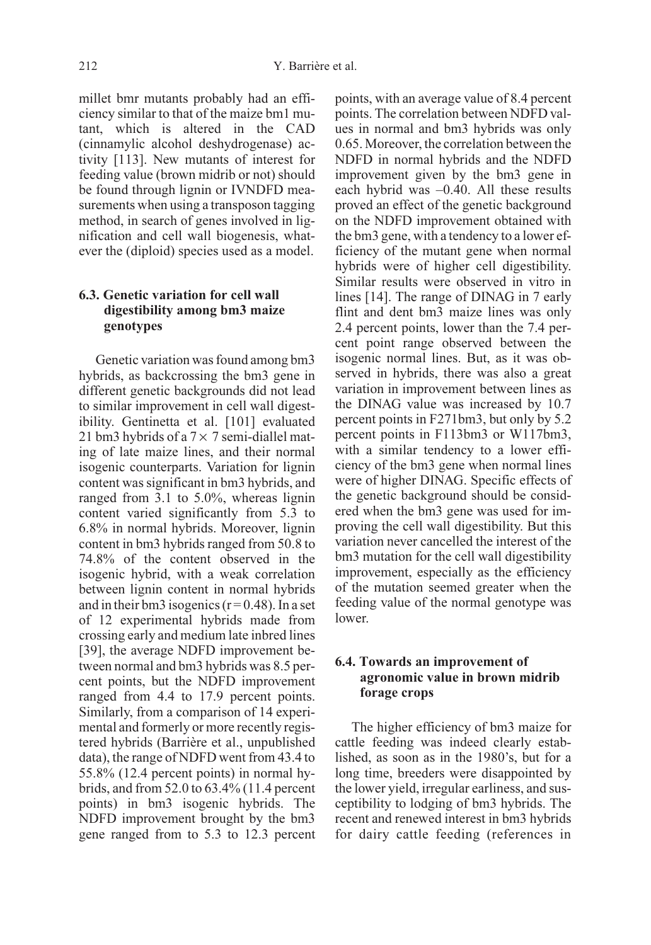millet bmr mutants probably had an efficiency similar to that of the maize bm1 mutant, which is altered in the CAD (cinnamylic alcohol deshydrogenase) activity [113]. New mutants of interest for feeding value (brown midrib or not) should be found through lignin or IVNDFD measurements when using a transposon tagging method, in search of genes involved in lignification and cell wall biogenesis, whatever the (diploid) species used as a model.

# 6.3. Genetic variation for cell wall digestibility among bm3 maize genotypes

Genetic variation was found among bm3 hybrids, as backcrossing the bm3 gene in different genetic backgrounds did not lead to similar improvement in cell wall digestibility. Gentinetta et al. [101] evaluated 21 bm3 hybrids of a  $7 \times 7$  semi-diallel mating of late maize lines, and their normal isogenic counterparts. Variation for lignin content was significant in bm3 hybrids, and ranged from 3.1 to 5.0%, whereas lignin content varied significantly from 5.3 to 6.8% in normal hybrids. Moreover, lignin content in bm3 hybrids ranged from 50.8 to 74.8% of the content observed in the isogenic hybrid, with a weak correlation between lignin content in normal hybrids and in their bm3 isogenics ( $r = 0.48$ ). In a set of 12 experimental hybrids made from crossing early and medium late inbred lines [39], the average NDFD improvement between normal and bm3 hybrids was 8.5 percent points, but the NDFD improvement ranged from 4.4 to 17.9 percent points. Similarly, from a comparison of 14 experimental and formerly or more recently registered hybrids (Barrière et al., unpublished data), the range of NDFD went from 43.4 to 55.8% (12.4 percent points) in normal hybrids, and from 52.0 to 63.4% (11.4 percent points) in bm3 isogenic hybrids. The NDFD improvement brought by the bm3 gene ranged from to 5.3 to 12.3 percent points, with an average value of 8.4 percent points. The correlation between NDFD values in normal and bm3 hybrids was only 0.65. Moreover, the correlation between the NDFD in normal hybrids and the NDFD improvement given by the bm3 gene in each hybrid was –0.40. All these results proved an effect of the genetic background on the NDFD improvement obtained with the bm3 gene, with a tendency to a lower efficiency of the mutant gene when normal hybrids were of higher cell digestibility. Similar results were observed in vitro in lines [14]. The range of DINAG in 7 early flint and dent bm3 maize lines was only 2.4 percent points, lower than the 7.4 percent point range observed between the isogenic normal lines. But, as it was observed in hybrids, there was also a great variation in improvement between lines as the DINAG value was increased by 10.7 percent points in F271bm3, but only by 5.2 percent points in F113bm3 or W117bm3, with a similar tendency to a lower efficiency of the bm3 gene when normal lines were of higher DINAG. Specific effects of the genetic background should be considered when the bm3 gene was used for improving the cell wall digestibility. But this variation never cancelled the interest of the bm3 mutation for the cell wall digestibility improvement, especially as the efficiency of the mutation seemed greater when the feeding value of the normal genotype was lower.

## 6.4. Towards an improvement of agronomic value in brown midrib forage crops

The higher efficiency of bm3 maize for cattle feeding was indeed clearly established, as soon as in the 1980's, but for a long time, breeders were disappointed by the lower yield, irregular earliness, and susceptibility to lodging of bm3 hybrids. The recent and renewed interest in bm3 hybrids for dairy cattle feeding (references in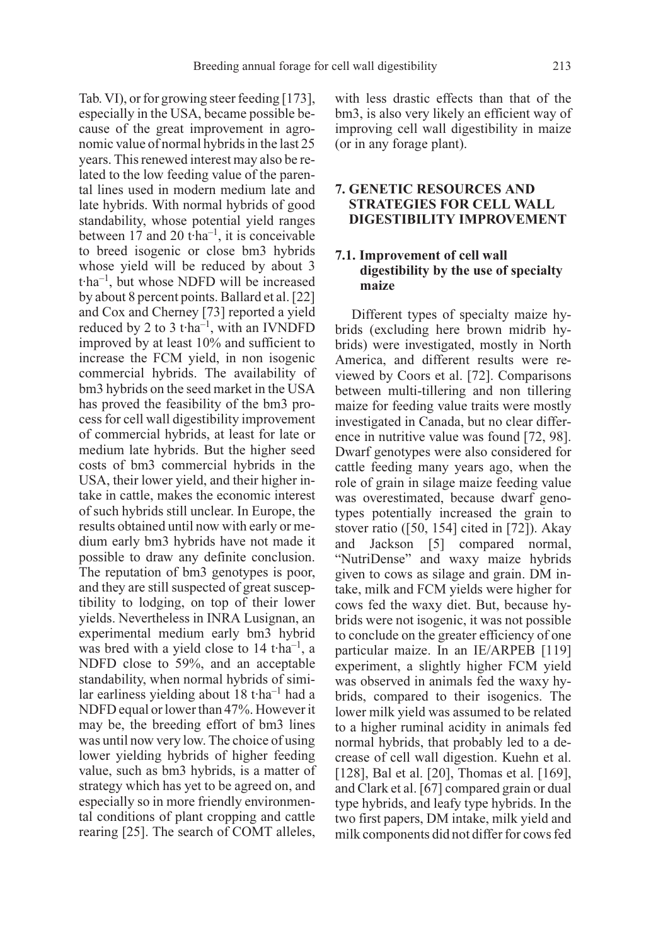Tab. VI), or for growing steer feeding [173], especially in the USA, became possible because of the great improvement in agronomic value of normal hybrids in the last 25 years. This renewed interest may also be related to the low feeding value of the parental lines used in modern medium late and late hybrids. With normal hybrids of good standability, whose potential yield ranges between 17 and 20 t $\cdot$ ha<sup>-1</sup>, it is conceivable to breed isogenic or close bm3 hybrids whose yield will be reduced by about 3 t·ha–1, but whose NDFD will be increased by about 8 percent points. Ballard et al. [22] and Cox and Cherney [73] reported a yield reduced by 2 to 3 t $\cdot$ ha<sup>-1</sup>, with an IVNDFD improved by at least 10% and sufficient to increase the FCM yield, in non isogenic commercial hybrids. The availability of bm3 hybrids on the seed market in the USA has proved the feasibility of the bm3 process for cell wall digestibility improvement of commercial hybrids, at least for late or medium late hybrids. But the higher seed costs of bm3 commercial hybrids in the USA, their lower yield, and their higher intake in cattle, makes the economic interest of such hybrids still unclear. In Europe, the results obtained until now with early or medium early bm3 hybrids have not made it possible to draw any definite conclusion. The reputation of bm3 genotypes is poor, and they are still suspected of great susceptibility to lodging, on top of their lower yields. Nevertheless in INRA Lusignan, an experimental medium early bm3 hybrid was bred with a yield close to  $14$  t·ha<sup>-1</sup>, a NDFD close to 59%, and an acceptable standability, when normal hybrids of similar earliness yielding about  $18$  t·ha<sup>-1</sup> had a NDFD equal or lower than 47%. However it may be, the breeding effort of bm3 lines was until now very low. The choice of using lower yielding hybrids of higher feeding value, such as bm3 hybrids, is a matter of strategy which has yet to be agreed on, and especially so in more friendly environmental conditions of plant cropping and cattle rearing [25]. The search of COMT alleles, with less drastic effects than that of the bm3, is also very likely an efficient way of improving cell wall digestibility in maize (or in any forage plant).

#### 7. GENETIC RESOURCES AND STRATEGIES FOR CELL WALL DIGESTIBILITY IMPROVEMENT

# 7.1. Improvement of cell wall digestibility by the use of specialty maize

Different types of specialty maize hybrids (excluding here brown midrib hybrids) were investigated, mostly in North America, and different results were reviewed by Coors et al. [72]. Comparisons between multi-tillering and non tillering maize for feeding value traits were mostly investigated in Canada, but no clear difference in nutritive value was found [72, 98]. Dwarf genotypes were also considered for cattle feeding many years ago, when the role of grain in silage maize feeding value was overestimated, because dwarf genotypes potentially increased the grain to stover ratio ([50, 154] cited in [72]). Akay and Jackson [5] compared normal, "NutriDense" and waxy maize hybrids given to cows as silage and grain. DM intake, milk and FCM yields were higher for cows fed the waxy diet. But, because hybrids were not isogenic, it was not possible to conclude on the greater efficiency of one particular maize. In an IE/ARPEB [119] experiment, a slightly higher FCM yield was observed in animals fed the waxy hybrids, compared to their isogenics. The lower milk yield was assumed to be related to a higher ruminal acidity in animals fed normal hybrids, that probably led to a decrease of cell wall digestion. Kuehn et al. [128], Bal et al. [20], Thomas et al. [169], and Clark et al. [67] compared grain or dual type hybrids, and leafy type hybrids. In the two first papers, DM intake, milk yield and milk components did not differ for cows fed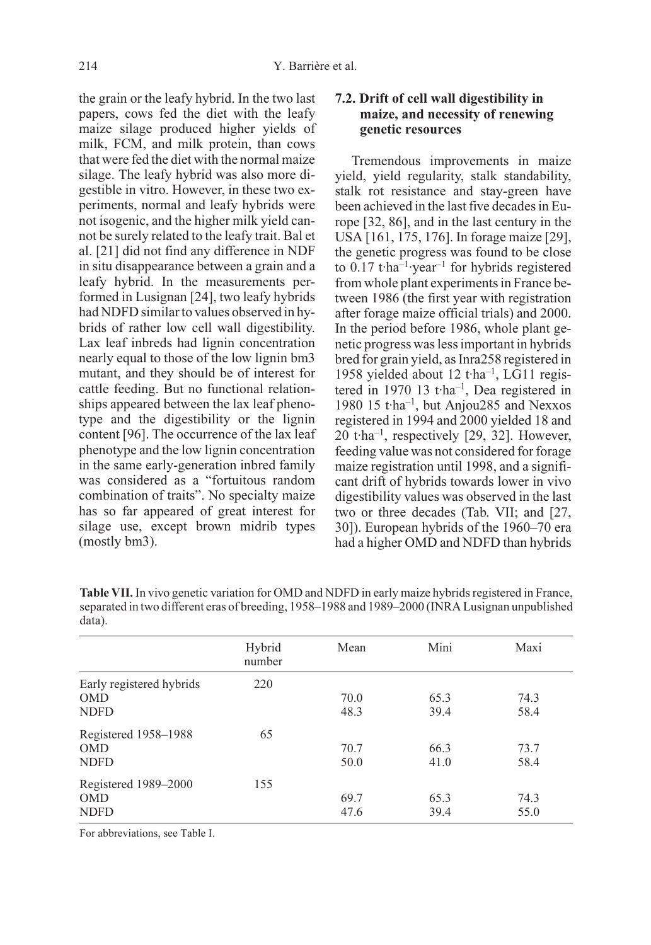the grain or the leafy hybrid. In the two last papers, cows fed the diet with the leafy maize silage produced higher yields of milk, FCM, and milk protein, than cows that were fed the diet with the normal maize silage. The leafy hybrid was also more digestible in vitro. However, in these two experiments, normal and leafy hybrids were not isogenic, and the higher milk yield cannot be surely related to the leafy trait. Bal et al. [21] did not find any difference in NDF in situ disappearance between a grain and a leafy hybrid. In the measurements performed in Lusignan [24], two leafy hybrids had NDFD similar to values observed in hybrids of rather low cell wall digestibility. Lax leaf inbreds had lignin concentration nearly equal to those of the low lignin bm3 mutant, and they should be of interest for cattle feeding. But no functional relationships appeared between the lax leaf phenotype and the digestibility or the lignin content [96]. The occurrence of the lax leaf phenotype and the low lignin concentration in the same early-generation inbred family was considered as a "fortuitous random combination of traits". No specialty maize has so far appeared of great interest for silage use, except brown midrib types (mostly bm3).

# 7.2. Drift of cell wall digestibility in maize, and necessity of renewing genetic resources

Tremendous improvements in maize yield, yield regularity, stalk standability, stalk rot resistance and stay-green have been achieved in the last five decades in Europe [32, 86], and in the last century in the USA [161, 175, 176]. In forage maize [29], the genetic progress was found to be close to  $0.17$  t·ha<sup>-1</sup>·year<sup>-1</sup> for hybrids registered from whole plant experiments in France between 1986 (the first year with registration after forage maize official trials) and 2000. In the period before 1986, whole plant genetic progress was less important in hybrids bred for grain yield, as Inra258 registered in 1958 yielded about 12 t·ha–1, LG11 registered in 1970 13 t·ha–1, Dea registered in 1980 15 t·ha–1, but Anjou285 and Nexxos registered in 1994 and 2000 yielded 18 and 20 t·ha–1, respectively [29, 32]. However, feeding value was not considered for forage maize registration until 1998, and a significant drift of hybrids towards lower in vivo digestibility values was observed in the last two or three decades (Tab. VII; and [27, 30]). European hybrids of the 1960–70 era had a higher OMD and NDFD than hybrids

Table VII. In vivo genetic variation for OMD and NDFD in early maize hybrids registered in France, separated in two different eras of breeding, 1958–1988 and 1989–2000 (INRA Lusignan unpublished data).

|                          | Hybrid<br>number | Mean | Mini | Maxi |
|--------------------------|------------------|------|------|------|
| Early registered hybrids | 220              |      |      |      |
| <b>OMD</b>               |                  | 70.0 | 65.3 | 74.3 |
| <b>NDFD</b>              |                  | 48.3 | 39.4 | 58.4 |
| Registered 1958–1988     | 65               |      |      |      |
| <b>OMD</b>               |                  | 70.7 | 66.3 | 73.7 |
| <b>NDFD</b>              |                  | 50.0 | 41.0 | 58.4 |
| Registered 1989-2000     | 155              |      |      |      |
| <b>OMD</b>               |                  | 69.7 | 65.3 | 74.3 |
| <b>NDFD</b>              |                  | 47.6 | 39.4 | 55.0 |

For abbreviations, see Table I.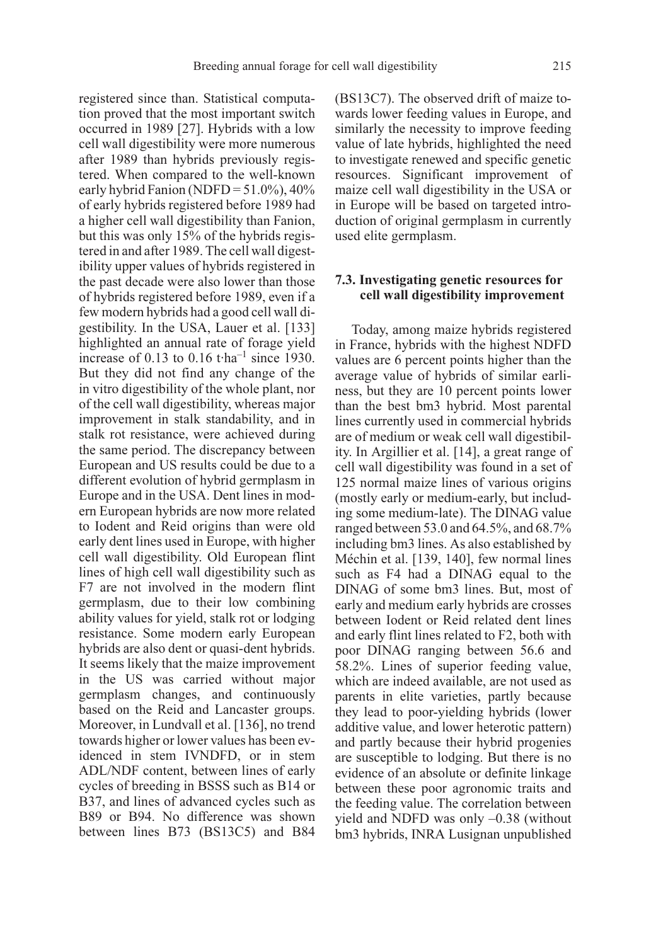registered since than. Statistical computation proved that the most important switch occurred in 1989 [27]. Hybrids with a low cell wall digestibility were more numerous after 1989 than hybrids previously registered. When compared to the well-known early hybrid Fanion (NDFD = 51.0%), 40% of early hybrids registered before 1989 had a higher cell wall digestibility than Fanion, but this was only 15% of the hybrids registered in and after 1989. The cell wall digestibility upper values of hybrids registered in the past decade were also lower than those of hybrids registered before 1989, even if a few modern hybrids had a good cell wall digestibility. In the USA, Lauer et al. [133] highlighted an annual rate of forage yield increase of 0.13 to 0.16 t·ha<sup>-1</sup> since 1930. But they did not find any change of the in vitro digestibility of the whole plant, nor of the cell wall digestibility, whereas major improvement in stalk standability, and in stalk rot resistance, were achieved during the same period. The discrepancy between European and US results could be due to a different evolution of hybrid germplasm in Europe and in the USA. Dent lines in modern European hybrids are now more related to Iodent and Reid origins than were old early dent lines used in Europe, with higher cell wall digestibility. Old European flint lines of high cell wall digestibility such as F7 are not involved in the modern flint germplasm, due to their low combining ability values for yield, stalk rot or lodging resistance. Some modern early European hybrids are also dent or quasi-dent hybrids. It seems likely that the maize improvement in the US was carried without major germplasm changes, and continuously based on the Reid and Lancaster groups. Moreover, in Lundvall et al. [136], no trend towards higher or lower values has been evidenced in stem IVNDFD, or in stem ADL/NDF content, between lines of early cycles of breeding in BSSS such as B14 or B37, and lines of advanced cycles such as B89 or B94. No difference was shown between lines B73 (BS13C5) and B84

(BS13C7). The observed drift of maize towards lower feeding values in Europe, and similarly the necessity to improve feeding value of late hybrids, highlighted the need to investigate renewed and specific genetic resources. Significant improvement of maize cell wall digestibility in the USA or in Europe will be based on targeted introduction of original germplasm in currently used elite germplasm.

#### 7.3. Investigating genetic resources for cell wall digestibility improvement

Today, among maize hybrids registered in France, hybrids with the highest NDFD values are 6 percent points higher than the average value of hybrids of similar earliness, but they are 10 percent points lower than the best bm3 hybrid. Most parental lines currently used in commercial hybrids are of medium or weak cell wall digestibility. In Argillier et al. [14], a great range of cell wall digestibility was found in a set of 125 normal maize lines of various origins (mostly early or medium-early, but including some medium-late). The DINAG value ranged between 53.0 and 64.5%, and 68.7% including bm3 lines. As also established by Méchin et al. [139, 140], few normal lines such as F4 had a DINAG equal to the DINAG of some bm3 lines. But, most of early and medium early hybrids are crosses between Iodent or Reid related dent lines and early flint lines related to F2, both with poor DINAG ranging between 56.6 and 58.2%. Lines of superior feeding value, which are indeed available, are not used as parents in elite varieties, partly because they lead to poor-yielding hybrids (lower additive value, and lower heterotic pattern) and partly because their hybrid progenies are susceptible to lodging. But there is no evidence of an absolute or definite linkage between these poor agronomic traits and the feeding value. The correlation between yield and NDFD was only –0.38 (without bm3 hybrids, INRA Lusignan unpublished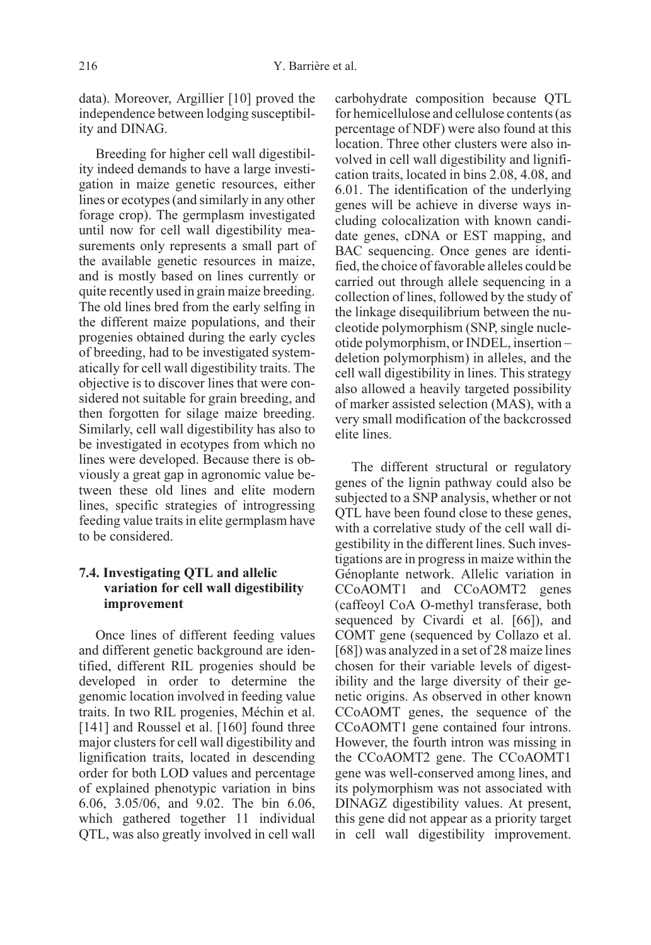data). Moreover, Argillier [10] proved the independence between lodging susceptibility and DINAG.

Breeding for higher cell wall digestibility indeed demands to have a large investigation in maize genetic resources, either lines or ecotypes (and similarly in any other forage crop). The germplasm investigated until now for cell wall digestibility measurements only represents a small part of the available genetic resources in maize, and is mostly based on lines currently or quite recently used in grain maize breeding. The old lines bred from the early selfing in the different maize populations, and their progenies obtained during the early cycles of breeding, had to be investigated systematically for cell wall digestibility traits. The objective is to discover lines that were considered not suitable for grain breeding, and then forgotten for silage maize breeding. Similarly, cell wall digestibility has also to be investigated in ecotypes from which no lines were developed. Because there is obviously a great gap in agronomic value between these old lines and elite modern lines, specific strategies of introgressing feeding value traits in elite germplasm have to be considered.

# 7.4. Investigating QTL and allelic variation for cell wall digestibility improvement

Once lines of different feeding values and different genetic background are identified, different RIL progenies should be developed in order to determine the genomic location involved in feeding value traits. In two RIL progenies, Méchin et al. [141] and Roussel et al. [160] found three major clusters for cell wall digestibility and lignification traits, located in descending order for both LOD values and percentage of explained phenotypic variation in bins 6.06, 3.05/06, and 9.02. The bin 6.06, which gathered together 11 individual QTL, was also greatly involved in cell wall

carbohydrate composition because QTL for hemicellulose and cellulose contents (as percentage of NDF) were also found at this location. Three other clusters were also involved in cell wall digestibility and lignification traits, located in bins 2.08, 4.08, and 6.01. The identification of the underlying genes will be achieve in diverse ways including colocalization with known candidate genes, cDNA or EST mapping, and BAC sequencing. Once genes are identified, the choice of favorable alleles could be carried out through allele sequencing in a collection of lines, followed by the study of the linkage disequilibrium between the nucleotide polymorphism (SNP, single nucleotide polymorphism, or INDEL, insertion – deletion polymorphism) in alleles, and the cell wall digestibility in lines. This strategy also allowed a heavily targeted possibility of marker assisted selection (MAS), with a very small modification of the backcrossed elite lines.

The different structural or regulatory genes of the lignin pathway could also be subjected to a SNP analysis, whether or not QTL have been found close to these genes, with a correlative study of the cell wall digestibility in the different lines. Such investigations are in progress in maize within the Génoplante network. Allelic variation in CCoAOMT1 and CCoAOMT2 genes (caffeoyl CoA O-methyl transferase, both sequenced by Civardi et al. [66]), and COMT gene (sequenced by Collazo et al. [68]) was analyzed in a set of 28 maize lines chosen for their variable levels of digestibility and the large diversity of their genetic origins. As observed in other known CCoAOMT genes, the sequence of the CCoAOMT1 gene contained four introns. However, the fourth intron was missing in the CCoAOMT2 gene. The CCoAOMT1 gene was well-conserved among lines, and its polymorphism was not associated with DINAGZ digestibility values. At present, this gene did not appear as a priority target in cell wall digestibility improvement.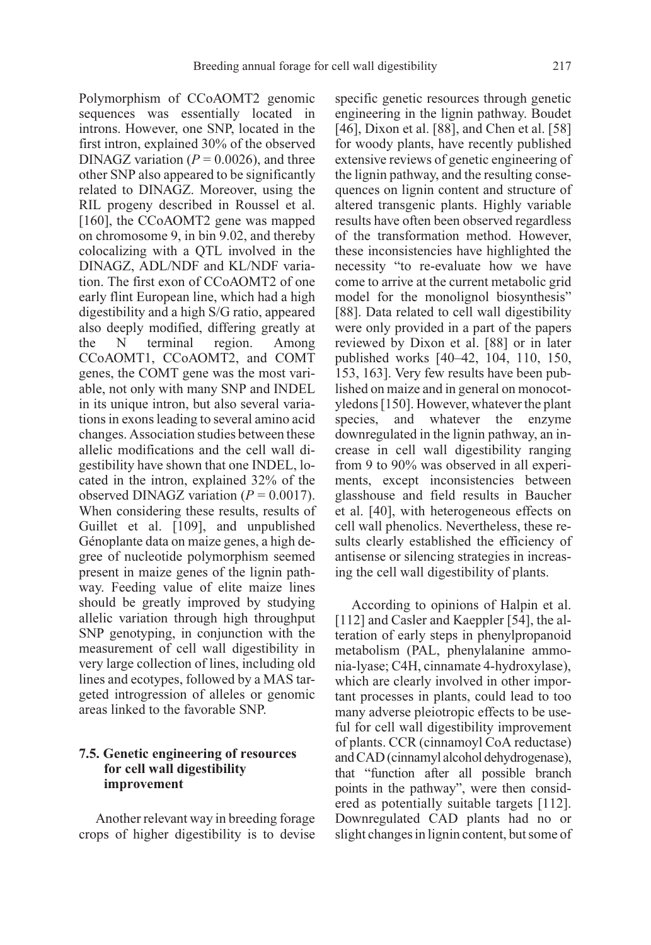Polymorphism of CCoAOMT2 genomic sequences was essentially located in introns. However, one SNP, located in the first intron, explained 30% of the observed DINAGZ variation ( $P = 0.0026$ ), and three other SNP also appeared to be significantly related to DINAGZ. Moreover, using the RIL progeny described in Roussel et al. [160], the CCoAOMT2 gene was mapped on chromosome 9, in bin 9.02, and thereby colocalizing with a QTL involved in the DINAGZ, ADL/NDF and KL/NDF variation. The first exon of CCoAOMT2 of one early flint European line, which had a high digestibility and a high S/G ratio, appeared also deeply modified, differing greatly at the N terminal region. Among CCoAOMT1, CCoAOMT2, and COMT genes, the COMT gene was the most variable, not only with many SNP and INDEL in its unique intron, but also several variations in exons leading to several amino acid changes. Association studies between these allelic modifications and the cell wall digestibility have shown that one INDEL, located in the intron, explained 32% of the observed DINAGZ variation ( $P = 0.0017$ ). When considering these results, results of Guillet et al. [109], and unpublished Génoplante data on maize genes, a high degree of nucleotide polymorphism seemed present in maize genes of the lignin pathway. Feeding value of elite maize lines should be greatly improved by studying allelic variation through high throughput SNP genotyping, in conjunction with the measurement of cell wall digestibility in very large collection of lines, including old lines and ecotypes, followed by a MAS targeted introgression of alleles or genomic areas linked to the favorable SNP.

#### 7.5. Genetic engineering of resources for cell wall digestibility improvement

Another relevant way in breeding forage crops of higher digestibility is to devise specific genetic resources through genetic engineering in the lignin pathway. Boudet [46], Dixon et al. [88], and Chen et al. [58] for woody plants, have recently published extensive reviews of genetic engineering of the lignin pathway, and the resulting consequences on lignin content and structure of altered transgenic plants. Highly variable results have often been observed regardless of the transformation method. However, these inconsistencies have highlighted the necessity "to re-evaluate how we have come to arrive at the current metabolic grid model for the monolignol biosynthesis" [88]. Data related to cell wall digestibility were only provided in a part of the papers reviewed by Dixon et al. [88] or in later published works [40–42, 104, 110, 150, 153, 163]. Very few results have been published on maize and in general on monocotyledons [150]. However, whatever the plant species, and whatever the enzyme downregulated in the lignin pathway, an increase in cell wall digestibility ranging from 9 to 90% was observed in all experiments, except inconsistencies between glasshouse and field results in Baucher et al. [40], with heterogeneous effects on cell wall phenolics. Nevertheless, these results clearly established the efficiency of antisense or silencing strategies in increasing the cell wall digestibility of plants.

According to opinions of Halpin et al. [112] and Casler and Kaeppler [54], the alteration of early steps in phenylpropanoid metabolism (PAL, phenylalanine ammonia-lyase; C4H, cinnamate 4-hydroxylase), which are clearly involved in other important processes in plants, could lead to too many adverse pleiotropic effects to be useful for cell wall digestibility improvement of plants. CCR (cinnamoyl CoA reductase) and CAD (cinnamyl alcohol dehydrogenase), that "function after all possible branch points in the pathway", were then considered as potentially suitable targets [112]. Downregulated CAD plants had no or slight changes in lignin content, but some of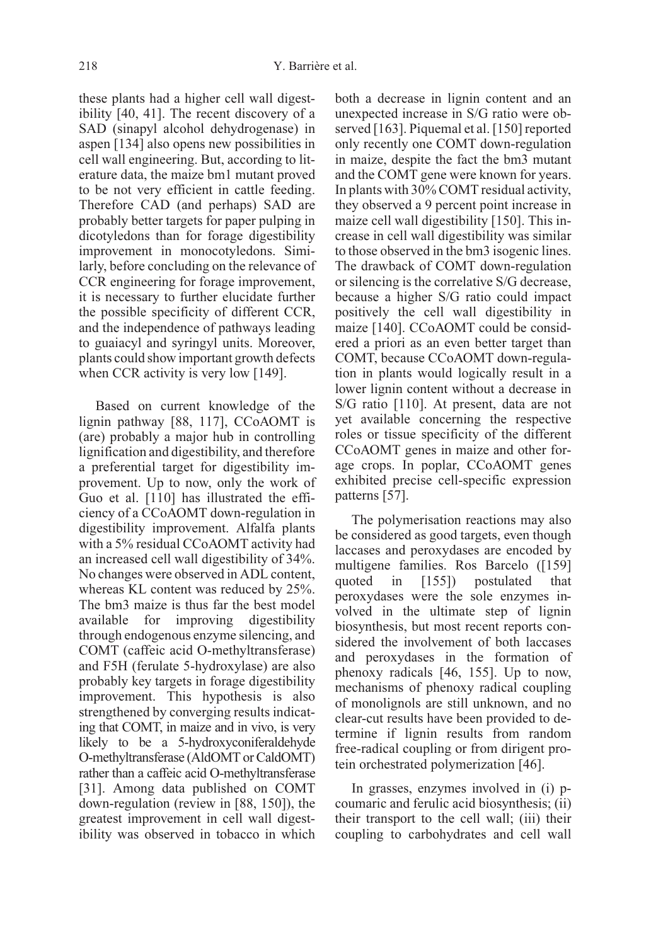these plants had a higher cell wall digestibility [40, 41]. The recent discovery of a SAD (sinapyl alcohol dehydrogenase) in aspen [134] also opens new possibilities in cell wall engineering. But, according to literature data, the maize bm1 mutant proved to be not very efficient in cattle feeding. Therefore CAD (and perhaps) SAD are probably better targets for paper pulping in dicotyledons than for forage digestibility improvement in monocotyledons. Similarly, before concluding on the relevance of CCR engineering for forage improvement, it is necessary to further elucidate further the possible specificity of different CCR, and the independence of pathways leading to guaiacyl and syringyl units. Moreover, plants could show important growth defects when CCR activity is very low [149].

Based on current knowledge of the lignin pathway [88, 117], CCoAOMT is (are) probably a major hub in controlling lignification and digestibility, and therefore a preferential target for digestibility improvement. Up to now, only the work of Guo et al. [110] has illustrated the efficiency of a CCoAOMT down-regulation in digestibility improvement. Alfalfa plants with a 5% residual CCoAOMT activity had an increased cell wall digestibility of 34%. No changes were observed in ADL content, whereas KL content was reduced by 25%. The bm3 maize is thus far the best model available for improving digestibility through endogenous enzyme silencing, and COMT (caffeic acid O-methyltransferase) and F5H (ferulate 5-hydroxylase) are also probably key targets in forage digestibility improvement. This hypothesis is also strengthened by converging results indicating that COMT, in maize and in vivo, is very likely to be a 5-hydroxyconiferaldehyde O-methyltransferase (AldOMT or CaldOMT) rather than a caffeic acid O-methyltransferase [31]. Among data published on COMT down-regulation (review in [88, 150]), the greatest improvement in cell wall digestibility was observed in tobacco in which both a decrease in lignin content and an unexpected increase in S/G ratio were observed [163]. Piquemal et al. [150] reported only recently one COMT down-regulation in maize, despite the fact the bm3 mutant and the COMT gene were known for years. In plants with 30% COMT residual activity, they observed a 9 percent point increase in maize cell wall digestibility [150]. This increase in cell wall digestibility was similar to those observed in the bm3 isogenic lines. The drawback of COMT down-regulation or silencing is the correlative S/G decrease, because a higher S/G ratio could impact positively the cell wall digestibility in maize [140]. CCoAOMT could be considered a priori as an even better target than COMT, because CCoAOMT down-regulation in plants would logically result in a lower lignin content without a decrease in S/G ratio [110]. At present, data are not yet available concerning the respective roles or tissue specificity of the different CCoAOMT genes in maize and other forage crops. In poplar, CCoAOMT genes exhibited precise cell-specific expression patterns [57].

The polymerisation reactions may also be considered as good targets, even though laccases and peroxydases are encoded by multigene families. Ros Barcelo ([159] quoted in [155]) postulated that peroxydases were the sole enzymes involved in the ultimate step of lignin biosynthesis, but most recent reports considered the involvement of both laccases and peroxydases in the formation of phenoxy radicals [46, 155]. Up to now, mechanisms of phenoxy radical coupling of monolignols are still unknown, and no clear-cut results have been provided to determine if lignin results from random free-radical coupling or from dirigent protein orchestrated polymerization [46].

In grasses, enzymes involved in (i) pcoumaric and ferulic acid biosynthesis; (ii) their transport to the cell wall; (iii) their coupling to carbohydrates and cell wall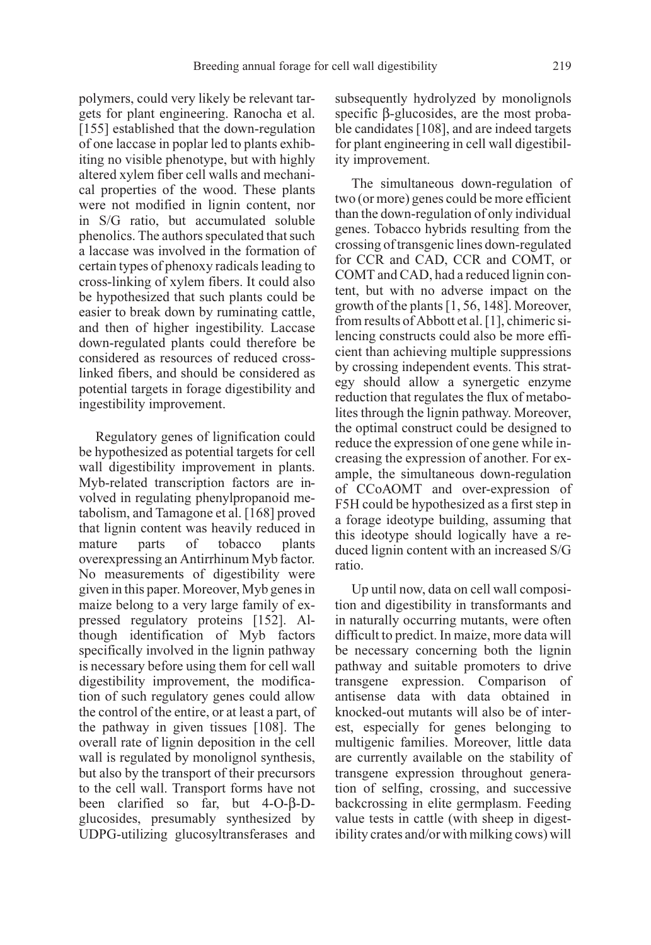polymers, could very likely be relevant targets for plant engineering. Ranocha et al. [155] established that the down-regulation of one laccase in poplar led to plants exhibiting no visible phenotype, but with highly altered xylem fiber cell walls and mechanical properties of the wood. These plants were not modified in lignin content, nor in S/G ratio, but accumulated soluble phenolics. The authors speculated that such a laccase was involved in the formation of certain types of phenoxy radicals leading to cross-linking of xylem fibers. It could also be hypothesized that such plants could be easier to break down by ruminating cattle, and then of higher ingestibility. Laccase down-regulated plants could therefore be considered as resources of reduced crosslinked fibers, and should be considered as potential targets in forage digestibility and ingestibility improvement.

Regulatory genes of lignification could be hypothesized as potential targets for cell wall digestibility improvement in plants. Myb-related transcription factors are involved in regulating phenylpropanoid metabolism, and Tamagone et al. [168] proved that lignin content was heavily reduced in mature parts of tobacco plants overexpressing an Antirrhinum Myb factor. No measurements of digestibility were given in this paper. Moreover, Myb genes in maize belong to a very large family of expressed regulatory proteins [152]. Although identification of Myb factors specifically involved in the lignin pathway is necessary before using them for cell wall digestibility improvement, the modification of such regulatory genes could allow the control of the entire, or at least a part, of the pathway in given tissues [108]. The overall rate of lignin deposition in the cell wall is regulated by monolignol synthesis, but also by the transport of their precursors to the cell wall. Transport forms have not been clarified so far, but 4-O-β-Dglucosides, presumably synthesized by UDPG-utilizing glucosyltransferases and subsequently hydrolyzed by monolignols specific β-glucosides, are the most probable candidates [108], and are indeed targets for plant engineering in cell wall digestibility improvement.

The simultaneous down-regulation of two (or more) genes could be more efficient than the down-regulation of only individual genes. Tobacco hybrids resulting from the crossing of transgenic lines down-regulated for CCR and CAD, CCR and COMT, or COMT and CAD, had a reduced lignin content, but with no adverse impact on the growth of the plants [1, 56, 148]. Moreover, from results of Abbott et al. [1], chimeric silencing constructs could also be more efficient than achieving multiple suppressions by crossing independent events. This strategy should allow a synergetic enzyme reduction that regulates the flux of metabolites through the lignin pathway. Moreover, the optimal construct could be designed to reduce the expression of one gene while increasing the expression of another. For example, the simultaneous down-regulation of CCoAOMT and over-expression of F5H could be hypothesized as a first step in a forage ideotype building, assuming that this ideotype should logically have a reduced lignin content with an increased S/G ratio.

Up until now, data on cell wall composition and digestibility in transformants and in naturally occurring mutants, were often difficult to predict. In maize, more data will be necessary concerning both the lignin pathway and suitable promoters to drive transgene expression. Comparison of antisense data with data obtained in knocked-out mutants will also be of interest, especially for genes belonging to multigenic families. Moreover, little data are currently available on the stability of transgene expression throughout generation of selfing, crossing, and successive backcrossing in elite germplasm. Feeding value tests in cattle (with sheep in digestibility crates and/or with milking cows) will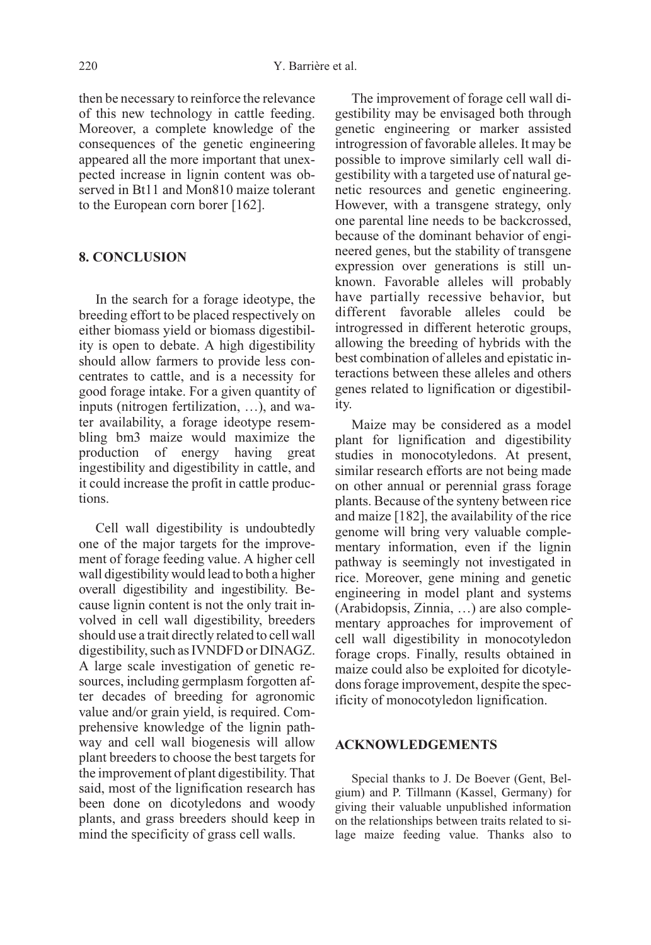then be necessary to reinforce the relevance of this new technology in cattle feeding. Moreover, a complete knowledge of the consequences of the genetic engineering appeared all the more important that unexpected increase in lignin content was observed in Bt11 and Mon810 maize tolerant to the European corn borer [162].

#### 8. CONCLUSION

In the search for a forage ideotype, the breeding effort to be placed respectively on either biomass yield or biomass digestibility is open to debate. A high digestibility should allow farmers to provide less concentrates to cattle, and is a necessity for good forage intake. For a given quantity of inputs (nitrogen fertilization, …), and water availability, a forage ideotype resembling bm3 maize would maximize the production of energy having great ingestibility and digestibility in cattle, and it could increase the profit in cattle productions.

Cell wall digestibility is undoubtedly one of the major targets for the improvement of forage feeding value. A higher cell wall digestibility would lead to both a higher overall digestibility and ingestibility. Because lignin content is not the only trait involved in cell wall digestibility, breeders should use a trait directly related to cell wall digestibility, such as IVNDFD or DINAGZ. A large scale investigation of genetic resources, including germplasm forgotten after decades of breeding for agronomic value and/or grain yield, is required. Comprehensive knowledge of the lignin pathway and cell wall biogenesis will allow plant breeders to choose the best targets for the improvement of plant digestibility. That said, most of the lignification research has been done on dicotyledons and woody plants, and grass breeders should keep in mind the specificity of grass cell walls.

The improvement of forage cell wall digestibility may be envisaged both through genetic engineering or marker assisted introgression of favorable alleles. It may be possible to improve similarly cell wall digestibility with a targeted use of natural genetic resources and genetic engineering. However, with a transgene strategy, only one parental line needs to be backcrossed, because of the dominant behavior of engineered genes, but the stability of transgene expression over generations is still unknown. Favorable alleles will probably have partially recessive behavior, but different favorable alleles could be introgressed in different heterotic groups, allowing the breeding of hybrids with the best combination of alleles and epistatic interactions between these alleles and others genes related to lignification or digestibility.

Maize may be considered as a model plant for lignification and digestibility studies in monocotyledons. At present, similar research efforts are not being made on other annual or perennial grass forage plants. Because of the synteny between rice and maize [182], the availability of the rice genome will bring very valuable complementary information, even if the lignin pathway is seemingly not investigated in rice. Moreover, gene mining and genetic engineering in model plant and systems (Arabidopsis, Zinnia, …) are also complementary approaches for improvement of cell wall digestibility in monocotyledon forage crops. Finally, results obtained in maize could also be exploited for dicotyledons forage improvement, despite the specificity of monocotyledon lignification.

#### ACKNOWLEDGEMENTS

Special thanks to J. De Boever (Gent, Belgium) and P. Tillmann (Kassel, Germany) for giving their valuable unpublished information on the relationships between traits related to silage maize feeding value. Thanks also to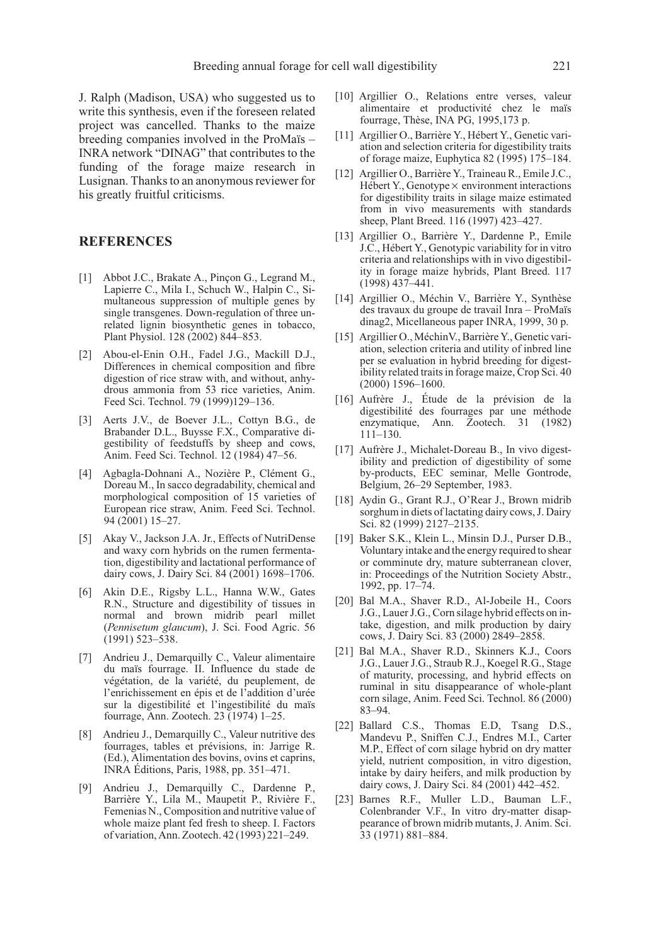J. Ralph (Madison, USA) who suggested us to write this synthesis, even if the foreseen related project was cancelled. Thanks to the maize breeding companies involved in the ProMaïs – INRA network "DINAG" that contributes to the funding of the forage maize research in Lusignan. Thanks to an anonymous reviewer for his greatly fruitful criticisms.

#### **REFERENCES**

- [1] Abbot J.C., Brakate A., Pinçon G., Legrand M., Lapierre C., Mila I., Schuch W., Halpin C., Simultaneous suppression of multiple genes by single transgenes. Down-regulation of three unrelated lignin biosynthetic genes in tobacco, Plant Physiol. 128 (2002) 844–853.
- [2] Abou-el-Enin O.H., Fadel J.G., Mackill D.J., Differences in chemical composition and fibre digestion of rice straw with, and without, anhydrous ammonia from 53 rice varieties, Anim. Feed Sci. Technol. 79 (1999)129–136.
- [3] Aerts J.V., de Boever J.L., Cottyn B.G., de Brabander D.L., Buysse F.X., Comparative digestibility of feedstuffs by sheep and cows, Anim. Feed Sci. Technol. 12 (1984) 47–56.
- [4] Agbagla-Dohnani A., Nozière P., Clément G., Doreau M., In sacco degradability, chemical and morphological composition of 15 varieties of European rice straw, Anim. Feed Sci. Technol. 94 (2001) 15–27.
- [5] Akay V., Jackson J.A. Jr., Effects of NutriDense and waxy corn hybrids on the rumen fermentation, digestibility and lactational performance of dairy cows, J. Dairy Sci. 84 (2001) 1698–1706.
- [6] Akin D.E., Rigsby L.L., Hanna W.W., Gates R.N., Structure and digestibility of tissues in normal and brown midrib pearl millet (Pennisetum glaucum), J. Sci. Food Agric. 56 (1991) 523–538.
- [7] Andrieu J., Demarquilly C., Valeur alimentaire du maïs fourrage. II. Influence du stade de végétation, de la variété, du peuplement, de l'enrichissement en épis et de l'addition d'urée sur la digestibilité et l'ingestibilité du maïs fourrage, Ann. Zootech. 23 (1974) 1–25.
- [8] Andrieu J., Demarquilly C., Valeur nutritive des fourrages, tables et prévisions, in: Jarrige R. (Ed.), Alimentation des bovins, ovins et caprins, INRA Éditions, Paris, 1988, pp. 351–471.
- [9] Andrieu J., Demarquilly C., Dardenne P., Barrière Y., Lila M., Maupetit P., Rivière F., Femenias N., Composition and nutritive value of whole maize plant fed fresh to sheep. I. Factors of variation, Ann. Zootech. 42 (1993) 221–249.
- [10] Argillier O., Relations entre verses, valeur alimentaire et productivité chez le maïs fourrage, Thèse, INA PG, 1995,173 p.
- [11] Argillier O., Barrière Y., Hébert Y., Genetic variation and selection criteria for digestibility traits of forage maize, Euphytica 82 (1995) 175–184.
- [12] Argillier O., Barrière Y., Traineau R., Emile J.C.,  $Hébert Y$ ., Genotype  $\times$  environment interactions for digestibility traits in silage maize estimated from in vivo measurements with standards sheep, Plant Breed. 116 (1997) 423–427.
- [13] Argillier O., Barrière Y., Dardenne P., Emile J.C., Hébert Y., Genotypic variability for in vitro criteria and relationships with in vivo digestibility in forage maize hybrids, Plant Breed. 117 (1998) 437–441.
- [14] Argillier O., Méchin V., Barrière Y., Synthèse des travaux du groupe de travail Inra – ProMaïs dinag2, Micellaneous paper INRA, 1999, 30 p.
- [15] Argillier O., MéchinV., Barrière Y., Genetic variation, selection criteria and utility of inbred line per se evaluation in hybrid breeding for digestibility related traits in forage maize, Crop Sci. 40 (2000) 1596–1600.
- [16] Aufrère J., Étude de la prévision de la digestibilité des fourrages par une méthode enzymatique, Ann. Zootech. 31 (1982) 111–130.
- [17] Aufrère J., Michalet-Doreau B., In vivo digestibility and prediction of digestibility of some by-products, EEC seminar, Melle Gontrode, Belgium, 26–29 September, 1983.
- [18] Aydin G., Grant R.J., O'Rear J., Brown midrib sorghum in diets of lactating dairy cows, J. Dairy Sci. 82 (1999) 2127–2135.
- [19] Baker S.K., Klein L., Minsin D.J., Purser D.B., Voluntary intake and the energy required to shear or comminute dry, mature subterranean clover, in: Proceedings of the Nutrition Society Abstr., 1992, pp. 17–74.
- [20] Bal M.A., Shaver R.D., Al-Jobeile H., Coors J.G., Lauer J.G., Corn silage hybrid effects on intake, digestion, and milk production by dairy cows, J. Dairy Sci. 83 (2000) 2849–2858.
- [21] Bal M.A., Shaver R.D., Skinners K.J., Coors J.G., Lauer J.G., Straub R.J., Koegel R.G., Stage of maturity, processing, and hybrid effects on ruminal in situ disappearance of whole-plant corn silage, Anim. Feed Sci. Technol. 86 (2000) 83–94.
- [22] Ballard C.S., Thomas E.D, Tsang D.S., Mandevu P., Sniffen C.J., Endres M.I., Carter M.P., Effect of corn silage hybrid on dry matter yield, nutrient composition, in vitro digestion, intake by dairy heifers, and milk production by dairy cows, J. Dairy Sci. 84 (2001) 442–452.
- [23] Barnes R.F., Muller L.D., Bauman L.F., Colenbrander V.F., In vitro dry-matter disappearance of brown midrib mutants, J. Anim. Sci. 33 (1971) 881–884.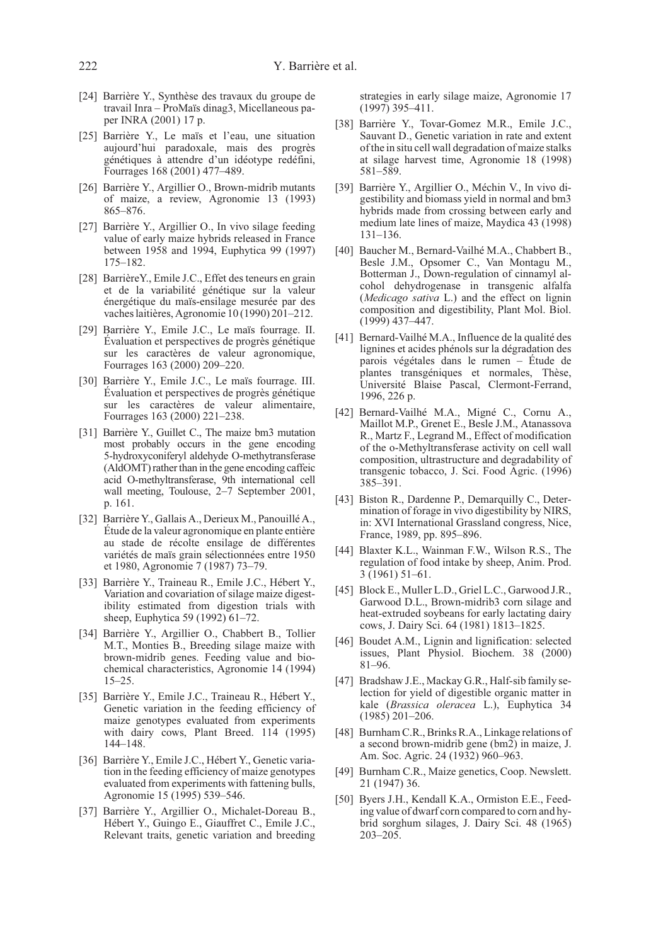- [24] Barrière Y., Synthèse des travaux du groupe de travail Inra – ProMaïs dinag3, Micellaneous paper INRA (2001) 17 p.
- [25] Barrière Y., Le maïs et l'eau, une situation aujourd'hui paradoxale, mais des progrès génétiques à attendre d'un idéotype redéfini, Fourrages 168 (2001) 477–489.
- [26] Barrière Y., Argillier O., Brown-midrib mutants of maize, a review, Agronomie 13 (1993) 865–876.
- [27] Barrière Y., Argillier O., In vivo silage feeding value of early maize hybrids released in France between 1958 and 1994, Euphytica 99 (1997) 175–182.
- [28] BarrièreY., Emile J.C., Effet des teneurs en grain et de la variabilité génétique sur la valeur énergétique du maïs-ensilage mesurée par des vaches laitières, Agronomie 10 (1990) 201–212.
- [29] Barrière Y., Emile J.C., Le maïs fourrage. II. Évaluation et perspectives de progrès génétique sur les caractères de valeur agronomique, Fourrages 163 (2000) 209–220.
- [30] Barrière Y., Emile J.C., Le maïs fourrage. III. Évaluation et perspectives de progrès génétique sur les caractères de valeur alimentaire, Fourrages 163 (2000) 221–238.
- [31] Barrière Y., Guillet C., The maize bm3 mutation most probably occurs in the gene encoding 5-hydroxyconiferyl aldehyde O-methytransferase (AldOMT) rather than in the gene encoding caffeic acid O-methyltransferase, 9th international cell wall meeting, Toulouse, 2–7 September 2001, p. 161.
- [32] Barrière Y., Gallais A., Derieux M., Panouillé A., Étude de la valeur agronomique en plante entière au stade de récolte ensilage de différentes variétés de maïs grain sélectionnées entre 1950 et 1980, Agronomie 7 (1987) 73–79.
- [33] Barrière Y., Traineau R., Emile J.C., Hébert Y., Variation and covariation of silage maize digestibility estimated from digestion trials with sheep, Euphytica 59 (1992) 61–72.
- [34] Barrière Y., Argillier O., Chabbert B., Tollier M.T., Monties B., Breeding silage maize with brown-midrib genes. Feeding value and biochemical characteristics, Agronomie 14 (1994) 15–25.
- [35] Barrière Y., Emile J.C., Traineau R., Hébert Y., Genetic variation in the feeding efficiency of maize genotypes evaluated from experiments with dairy cows, Plant Breed. 114 (1995) 144–148.
- [36] Barrière Y., Emile J.C., Hébert Y., Genetic variation in the feeding efficiency of maize genotypes evaluated from experiments with fattening bulls, Agronomie 15 (1995) 539–546.
- [37] Barrière Y., Argillier O., Michalet-Doreau B., Hébert Y., Guingo E., Giauffret C., Emile J.C., Relevant traits, genetic variation and breeding

strategies in early silage maize, Agronomie 17 (1997) 395–411.

- [38] Barrière Y., Tovar-Gomez M.R., Emile J.C., Sauvant D., Genetic variation in rate and extent of the in situ cell wall degradation of maize stalks at silage harvest time, Agronomie 18 (1998) 581–589.
- [39] Barrière Y., Argillier O., Méchin V., In vivo digestibility and biomass yield in normal and bm3 hybrids made from crossing between early and medium late lines of maize, Maydica 43 (1998) 131–136.
- [40] Baucher M., Bernard-Vailhé M.A., Chabbert B., Besle J.M., Opsomer C., Van Montagu M., Botterman J., Down-regulation of cinnamyl alcohol dehydrogenase in transgenic alfalfa (Medicago sativa L.) and the effect on lignin composition and digestibility, Plant Mol. Biol. (1999) 437–447.
- [41] Bernard-Vailhé M.A., Influence de la qualité des lignines et acides phénols sur la dégradation des parois végétales dans le rumen – Étude de plantes transgéniques et normales, Thèse, Université Blaise Pascal, Clermont-Ferrand, 1996, 226 p.
- [42] Bernard-Vailhé M.A., Migné C., Cornu A., Maillot M.P., Grenet E., Besle J.M., Atanassova R., Martz F., Legrand M., Effect of modification of the o-Methyltransferase activity on cell wall composition, ultrastructure and degradability of transgenic tobacco, J. Sci. Food Agric. (1996) 385–391.
- [43] Biston R., Dardenne P., Demarquilly C., Determination of forage in vivo digestibility by NIRS, in: XVI International Grassland congress, Nice, France, 1989, pp. 895–896.
- [44] Blaxter K.L., Wainman F.W., Wilson R.S., The regulation of food intake by sheep, Anim. Prod. 3 (1961) 51–61.
- [45] Block E., Muller L.D., Griel L.C., Garwood J.R., Garwood D.L., Brown-midrib3 corn silage and heat-extruded soybeans for early lactating dairy cows, J. Dairy Sci. 64 (1981) 1813–1825.
- [46] Boudet A.M., Lignin and lignification: selected issues, Plant Physiol. Biochem. 38 (2000) 81–96.
- [47] Bradshaw J.E., Mackay G.R., Half-sib family selection for yield of digestible organic matter in kale (Brassica oleracea L.), Euphytica 34 (1985) 201–206.
- [48] Burnham C.R., Brinks R.A., Linkage relations of a second brown-midrib gene (bm2) in maize, J. Am. Soc. Agric. 24 (1932) 960–963.
- [49] Burnham C.R., Maize genetics, Coop. Newslett. 21 (1947) 36.
- [50] Byers J.H., Kendall K.A., Ormiston E.E., Feeding value of dwarf corn compared to corn and hybrid sorghum silages, J. Dairy Sci. 48 (1965) 203–205.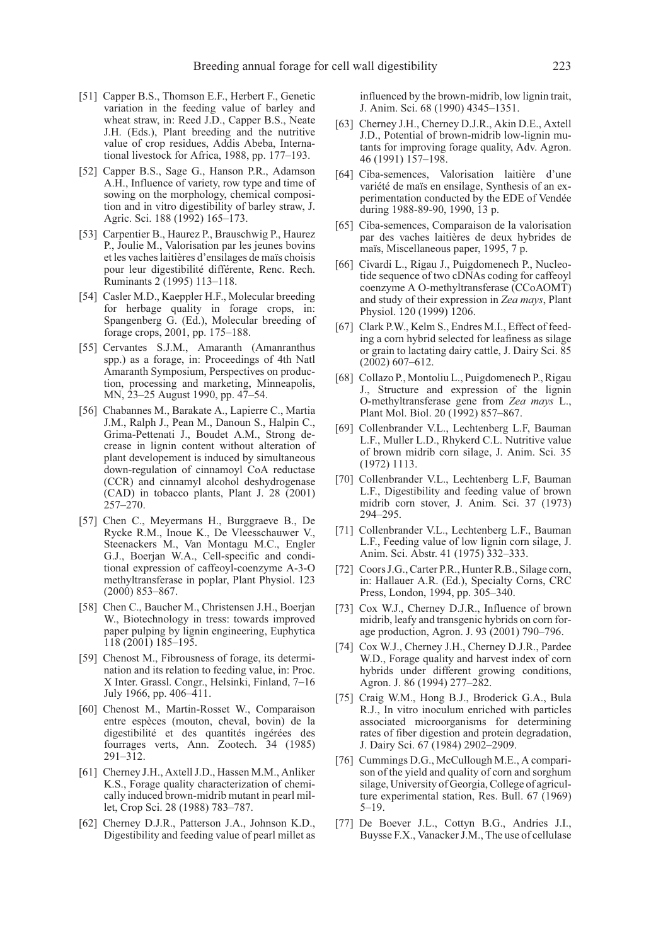- [51] Capper B.S., Thomson E.F., Herbert F., Genetic variation in the feeding value of barley and wheat straw, in: Reed J.D., Capper B.S., Neate J.H. (Eds.), Plant breeding and the nutritive value of crop residues, Addis Abeba, International livestock for Africa, 1988, pp. 177–193.
- [52] Capper B.S., Sage G., Hanson P.R., Adamson A.H., Influence of variety, row type and time of sowing on the morphology, chemical composition and in vitro digestibility of barley straw, J. Agric. Sci. 188 (1992) 165–173.
- [53] Carpentier B., Haurez P., Brauschwig P., Haurez P., Joulie M., Valorisation par les jeunes bovins et les vaches laitières d'ensilages de maïs choisis pour leur digestibilité différente, Renc. Rech. Ruminants 2 (1995) 113–118.
- [54] Casler M.D., Kaeppler H.F., Molecular breeding for herbage quality in forage crops, in: Spangenberg G. (Ed.), Molecular breeding of forage crops, 2001, pp. 175–188.
- [55] Cervantes S.J.M., Amaranth (Amanranthus spp.) as a forage, in: Proceedings of 4th Natl Amaranth Symposium, Perspectives on production, processing and marketing, Minneapolis, MN, 23–25 August 1990, pp. 47–54.
- [56] Chabannes M., Barakate A., Lapierre C., Martia J.M., Ralph J., Pean M., Danoun S., Halpin C., Grima-Pettenati J., Boudet A.M., Strong decrease in lignin content without alteration of plant developement is induced by simultaneous down-regulation of cinnamoyl CoA reductase (CCR) and cinnamyl alcohol deshydrogenase (CAD) in tobacco plants, Plant J. 28 (2001)  $257 - 270.$
- [57] Chen C., Meyermans H., Burggraeve B., De Rycke R.M., Inoue K., De Vleesschauwer V., Steenackers M., Van Montagu M.C., Engler G.J., Boerjan W.A., Cell-specific and conditional expression of caffeoyl-coenzyme A-3-O methyltransferase in poplar, Plant Physiol. 123 (2000) 853–867.
- [58] Chen C., Baucher M., Christensen J.H., Boerjan W., Biotechnology in tress: towards improved paper pulping by lignin engineering, Euphytica 118 (2001) 185–195.
- [59] Chenost M., Fibrousness of forage, its determination and its relation to feeding value, in: Proc. X Inter. Grassl. Congr., Helsinki, Finland, 7–16 July 1966, pp. 406–411.
- [60] Chenost M., Martin-Rosset W., Comparaison entre espèces (mouton, cheval, bovin) de la digestibilité et des quantités ingérées des fourrages verts, Ann. Zootech. 34 (1985) 291–312.
- [61] Cherney J.H., Axtell J.D., Hassen M.M., Anliker K.S., Forage quality characterization of chemically induced brown-midrib mutant in pearl millet, Crop Sci. 28 (1988) 783–787.
- [62] Cherney D.J.R., Patterson J.A., Johnson K.D., Digestibility and feeding value of pearl millet as

influenced by the brown-midrib, low lignin trait, J. Anim. Sci. 68 (1990) 4345–1351.

- [63] Cherney J.H., Cherney D.J.R., Akin D.E., Axtell J.D., Potential of brown-midrib low-lignin mutants for improving forage quality, Adv. Agron. 46 (1991) 157–198.
- [64] Ciba-semences, Valorisation laitière d'une variété de maïs en ensilage, Synthesis of an experimentation conducted by the EDE of Vendée during 1988-89-90, 1990, 13 p.
- [65] Ciba-semences, Comparaison de la valorisation par des vaches laitières de deux hybrides de maïs, Miscellaneous paper, 1995, 7 p.
- [66] Civardi L., Rigau J., Puigdomenech P., Nucleotide sequence of two cDNAs coding for caffeoyl coenzyme A O-methyltransferase (CCoAOMT) and study of their expression in Zea mays, Plant Physiol. 120 (1999) 1206.
- [67] Clark P.W., Kelm S., Endres M.I., Effect of feeding a corn hybrid selected for leafiness as silage or grain to lactating dairy cattle, J. Dairy Sci. 85 (2002) 607–612.
- [68] Collazo P., Montoliu L., Puigdomenech P., Rigau J., Structure and expression of the lignin O-methyltransferase gene from Zea mays L., Plant Mol. Biol. 20 (1992) 857–867.
- [69] Collenbrander V.L., Lechtenberg L.F, Bauman L.F., Muller L.D., Rhykerd C.L. Nutritive value of brown midrib corn silage, J. Anim. Sci. 35 (1972) 1113.
- [70] Collenbrander V.L., Lechtenberg L.F, Bauman L.F., Digestibility and feeding value of brown midrib corn stover, J. Anim. Sci. 37 (1973) 294–295.
- [71] Collenbrander V.L., Lechtenberg L.F., Bauman L.F., Feeding value of low lignin corn silage, J. Anim. Sci. Abstr. 41 (1975) 332–333.
- [72] Coors J.G., Carter P.R., Hunter R.B., Silage corn, in: Hallauer A.R. (Ed.), Specialty Corns, CRC Press, London, 1994, pp. 305–340.
- [73] Cox W.J., Cherney D.J.R., Influence of brown midrib, leafy and transgenic hybrids on corn forage production, Agron. J. 93 (2001) 790–796.
- [74] Cox W.J., Cherney J.H., Cherney D.J.R., Pardee W.D., Forage quality and harvest index of corn hybrids under different growing conditions, Agron. J. 86 (1994) 277–282.
- [75] Craig W.M., Hong B.J., Broderick G.A., Bula R.J., In vitro inoculum enriched with particles associated microorganisms for determining rates of fiber digestion and protein degradation, J. Dairy Sci. 67 (1984) 2902–2909.
- [76] Cummings D.G., McCullough M.E., A comparison of the yield and quality of corn and sorghum silage, University of Georgia, College of agriculture experimental station, Res. Bull. 67 (1969) 5–19.
- [77] De Boever J.L., Cottyn B.G., Andries J.I., Buysse F.X., Vanacker J.M., The use of cellulase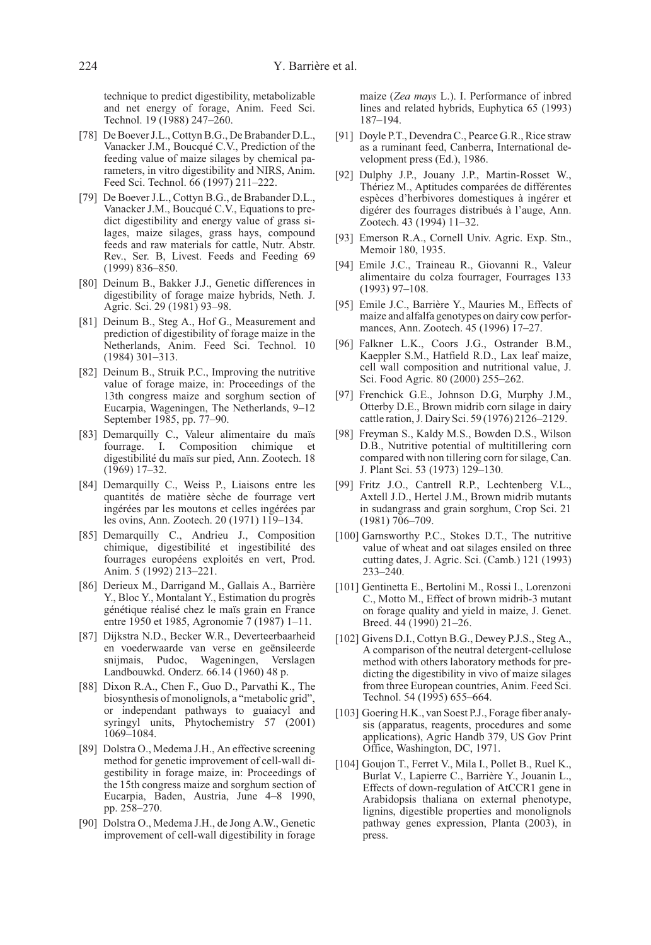technique to predict digestibility, metabolizable and net energy of forage, Anim. Feed Sci. Technol. 19 (1988) 247–260.

- [78] De Boever J.L., Cottyn B.G., De Brabander D.L., Vanacker J.M., Boucqué C.V., Prediction of the feeding value of maize silages by chemical parameters, in vitro digestibility and NIRS, Anim. Feed Sci. Technol. 66 (1997) 211–222.
- [79] De Boever J.L., Cottyn B.G., de Brabander D.L., Vanacker J.M., Boucqué C.V., Equations to predict digestibility and energy value of grass silages, maize silages, grass hays, compound feeds and raw materials for cattle, Nutr. Abstr. Rev., Ser. B, Livest. Feeds and Feeding 69 (1999) 836–850.
- [80] Deinum B., Bakker J.J., Genetic differences in digestibility of forage maize hybrids, Neth. J. Agric. Sci. 29 (1981) 93–98.
- [81] Deinum B., Steg A., Hof G., Measurement and prediction of digestibility of forage maize in the Netherlands, Anim. Feed Sci. Technol. 10 (1984) 301–313.
- [82] Deinum B., Struik P.C., Improving the nutritive value of forage maize, in: Proceedings of the 13th congress maize and sorghum section of Eucarpia, Wageningen, The Netherlands, 9–12 September 1985, pp. 77–90.
- [83] Demarquilly C., Valeur alimentaire du maïs fourrage. I. Composition chimique et fourrage. I. Composition digestibilité du maïs sur pied, Ann. Zootech. 18 (1969) 17–32.
- [84] Demarquilly C., Weiss P., Liaisons entre les quantités de matière sèche de fourrage vert ingérées par les moutons et celles ingérées par les ovins, Ann. Zootech. 20 (1971) 119–134.
- [85] Demarquilly C., Andrieu J., Composition chimique, digestibilité et ingestibilité des fourrages européens exploités en vert, Prod. Anim. 5 (1992) 213–221.
- [86] Derieux M., Darrigand M., Gallais A., Barrière Y., Bloc Y., Montalant Y., Estimation du progrès génétique réalisé chez le maïs grain en France entre 1950 et 1985, Agronomie 7 (1987) 1–11.
- [87] Dijkstra N.D., Becker W.R., Deverteerbaarheid en voederwaarde van verse en geënsileerde snijmais, Pudoc, Wageningen, Verslagen Landbouwkd. Onderz. 66.14 (1960) 48 p.
- [88] Dixon R.A., Chen F., Guo D., Parvathi K., The biosynthesis of monolignols, a "metabolic grid", or independant pathways to guaiacyl and syringyl units, Phytochemistry 57 (2001) 1069–1084.
- [89] Dolstra O., Medema J.H., An effective screening method for genetic improvement of cell-wall digestibility in forage maize, in: Proceedings of the 15th congress maize and sorghum section of Eucarpia, Baden, Austria, June 4–8 1990, pp. 258–270.
- [90] Dolstra O., Medema J.H., de Jong A.W., Genetic improvement of cell-wall digestibility in forage

maize (Zea mays L.). I. Performance of inbred lines and related hybrids, Euphytica 65 (1993) 187–194.

- [91] Doyle P.T., Devendra C., Pearce G.R., Rice straw as a ruminant feed, Canberra, International development press (Ed.), 1986.
- [92] Dulphy J.P., Jouany J.P., Martin-Rosset W., Thériez M., Aptitudes comparées de différentes espèces d'herbivores domestiques à ingérer et digérer des fourrages distribués à l'auge, Ann. Zootech. 43 (1994) 11–32.
- [93] Emerson R.A., Cornell Univ. Agric. Exp. Stn., Memoir 180, 1935.
- [94] Emile J.C., Traineau R., Giovanni R., Valeur alimentaire du colza fourrager, Fourrages 133 (1993) 97–108.
- [95] Emile J.C., Barrière Y., Mauries M., Effects of maize and alfalfa genotypes on dairy cow performances, Ann. Zootech. 45 (1996) 17–27.
- [96] Falkner L.K., Coors J.G., Ostrander B.M., Kaeppler S.M., Hatfield R.D., Lax leaf maize, cell wall composition and nutritional value, J. Sci. Food Agric. 80 (2000) 255–262.
- [97] Frenchick G.E., Johnson D.G, Murphy J.M., Otterby D.E., Brown midrib corn silage in dairy cattle ration, J. Dairy Sci. 59 (1976) 2126–2129.
- [98] Freyman S., Kaldy M.S., Bowden D.S., Wilson D.B., Nutritive potential of multitillering corn compared with non tillering corn for silage, Can. J. Plant Sci. 53 (1973) 129–130.
- [99] Fritz J.O., Cantrell R.P., Lechtenberg V.L., Axtell J.D., Hertel J.M., Brown midrib mutants in sudangrass and grain sorghum, Crop Sci. 21 (1981) 706–709.
- [100] Garnsworthy P.C., Stokes D.T., The nutritive value of wheat and oat silages ensiled on three cutting dates, J. Agric. Sci. (Camb.) 121 (1993) 233–240.
- [101] Gentinetta E., Bertolini M., Rossi I., Lorenzoni C., Motto M., Effect of brown midrib-3 mutant on forage quality and yield in maize, J. Genet. Breed. 44 (1990) 21–26.
- [102] Givens D.I., Cottyn B.G., Dewey P.J.S., Steg A., A comparison of the neutral detergent-cellulose method with others laboratory methods for predicting the digestibility in vivo of maize silages from three European countries, Anim. Feed Sci. Technol. 54 (1995) 655–664.
- [103] Goering H.K., van Soest P.J., Forage fiber analysis (apparatus, reagents, procedures and some applications), Agric Handb 379, US Gov Print Office, Washington, DC, 1971.
- [104] Goujon T., Ferret V., Mila I., Pollet B., Ruel K., Burlat V., Lapierre C., Barrière Y., Jouanin L., Effects of down-regulation of AtCCR1 gene in Arabidopsis thaliana on external phenotype, lignins, digestible properties and monolignols pathway genes expression, Planta (2003), in press.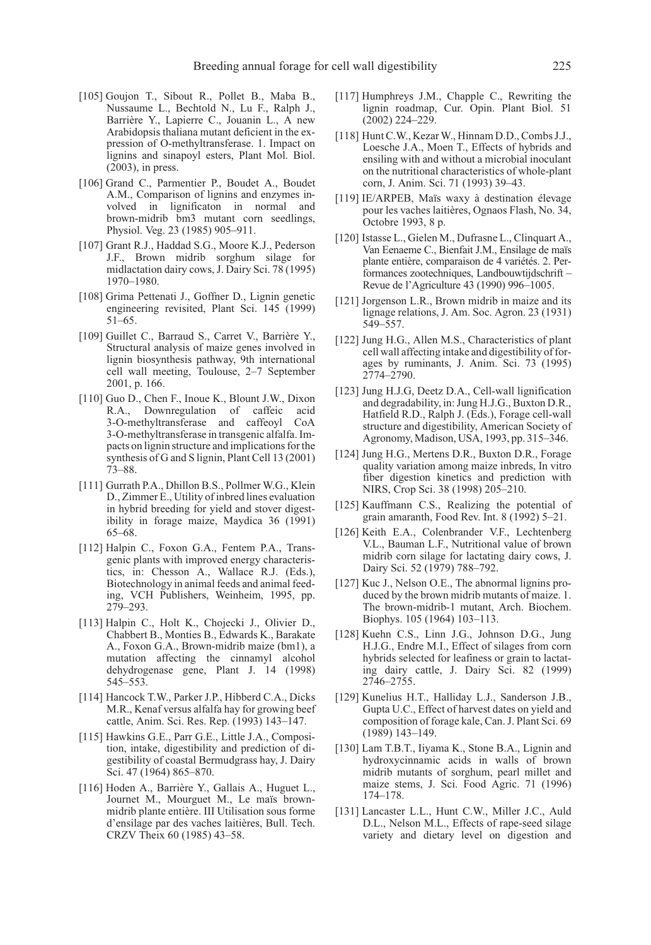- [105] Goujon T., Sibout R., Pollet B., Maba B., Nussaume L., Bechtold N., Lu F., Ralph J., Barrière Y., Lapierre C., Jouanin L., A new Arabidopsis thaliana mutant deficient in the expression of O-methyltransferase. 1. Impact on lignins and sinapoyl esters, Plant Mol. Biol. (2003), in press.
- [106] Grand C., Parmentier P., Boudet A., Boudet A.M., Comparison of lignins and enzymes involved in lignificaton in normal and brown-midrib bm3 mutant corn seedlings, Physiol. Veg. 23 (1985) 905–911.
- [107] Grant R.J., Haddad S.G., Moore K.J., Pederson J.F., Brown midrib sorghum silage for midlactation dairy cows, J. Dairy Sci. 78 (1995) 1970–1980.
- [108] Grima Pettenati J., Goffner D., Lignin genetic engineering revisited, Plant Sci. 145 (1999) 51–65.
- [109] Guillet C., Barraud S., Carret V., Barrière Y., Structural analysis of maize genes involved in lignin biosynthesis pathway, 9th international cell wall meeting, Toulouse, 2–7 September 2001, p. 166.
- [110] Guo D., Chen F., Inoue K., Blount J.W., Dixon R.A., Downregulation of caffeic acid 3-O-methyltransferase and caffeoyl CoA 3-O-methyltransferase in transgenic alfalfa. Impacts on lignin structure and implications for the synthesis of G and S lignin, Plant Cell 13 (2001) 73–88.
- [111] Gurrath P.A., Dhillon B.S., Pollmer W.G., Klein D., Zimmer E., Utility of inbred lines evaluation in hybrid breeding for yield and stover digestibility in forage maize, Maydica 36 (1991) 65–68.
- [112] Halpin C., Foxon G.A., Fentem P.A., Transgenic plants with improved energy characteristics, in: Chesson A., Wallace R.J. (Eds.), Biotechnology in animal feeds and animal feeding, VCH Publishers, Weinheim, 1995, pp. 279–293.
- [113] Halpin C., Holt K., Chojecki J., Olivier D., Chabbert B., Monties B., Edwards K., Barakate A., Foxon G.A., Brown-midrib maize (bm1), a mutation affecting the cinnamyl alcohol dehydrogenase gene, Plant J. 14 (1998) 545–553.
- [114] Hancock T.W., Parker J.P., Hibberd C.A., Dicks M.R., Kenaf versus alfalfa hay for growing beef cattle, Anim. Sci. Res. Rep. (1993) 143–147.
- [115] Hawkins G.E., Parr G.E., Little J.A., Composition, intake, digestibility and prediction of digestibility of coastal Bermudgrass hay, J. Dairy Sci. 47 (1964) 865–870.
- [116] Hoden A., Barrière Y., Gallais A., Huguet L., Journet M., Mourguet M., Le maïs brownmidrib plante entière. III Utilisation sous forme d'ensilage par des vaches laitières, Bull. Tech. CRZV Theix 60 (1985) 43–58.
- [117] Humphreys J.M., Chapple C., Rewriting the lignin roadmap, Cur. Opin. Plant Biol. 51 (2002) 224–229.
- [118] Hunt C.W., Kezar W., Hinnam D.D., Combs J.J., Loesche J.A., Moen T., Effects of hybrids and ensiling with and without a microbial inoculant on the nutritional characteristics of whole-plant corn, J. Anim. Sci. 71 (1993) 39–43.
- [119] IE/ARPEB, Maïs waxy à destination élevage pour les vaches laitières, Ognaos Flash, No. 34, Octobre 1993, 8 p.
- [120] Istasse L., Gielen M., Dufrasne L., Clinquart A., Van Eenaeme C., Bienfait J.M., Ensilage de maïs plante entière, comparaison de 4 variétés. 2. Performances zootechniques, Landbouwtijdschrift – Revue de l'Agriculture 43 (1990) 996–1005.
- [121] Jorgenson L.R., Brown midrib in maize and its lignage relations, J. Am. Soc. Agron. 23 (1931) 549–557.
- [122] Jung H.G., Allen M.S., Characteristics of plant cell wall affecting intake and digestibility of forages by ruminants, J. Anim. Sci. 73 (1995) 2774–2790.
- [123] Jung H.J.G, Deetz D.A., Cell-wall lignification and degradability, in: Jung H.J.G., Buxton D.R., Hatfield R.D., Ralph J. (Eds.), Forage cell-wall structure and digestibility, American Society of Agronomy, Madison, USA, 1993, pp. 315–346.
- [124] Jung H.G., Mertens D.R., Buxton D.R., Forage quality variation among maize inbreds, In vitro fiber digestion kinetics and prediction with NIRS, Crop Sci. 38 (1998) 205–210.
- [125] Kauffmann C.S., Realizing the potential of grain amaranth, Food Rev. Int. 8 (1992) 5–21.
- [126] Keith E.A., Colenbrander V.F., Lechtenberg V.L., Bauman L.F., Nutritional value of brown midrib corn silage for lactating dairy cows, J. Dairy Sci. 52 (1979) 788–792.
- [127] Kuc J., Nelson O.E., The abnormal lignins produced by the brown midrib mutants of maize. 1. The brown-midrib-1 mutant, Arch. Biochem. Biophys. 105 (1964) 103–113.
- [128] Kuehn C.S., Linn J.G., Johnson D.G., Jung H.J.G., Endre M.I., Effect of silages from corn hybrids selected for leafiness or grain to lactating dairy cattle, J. Dairy Sci. 82 (1999) 2746–2755.
- [129] Kunelius H.T., Halliday L.J., Sanderson J.B., Gupta U.C., Effect of harvest dates on yield and composition of forage kale, Can. J. Plant Sci. 69 (1989) 143–149.
- [130] Lam T.B.T., Iiyama K., Stone B.A., Lignin and hydroxycinnamic acids in walls of brown midrib mutants of sorghum, pearl millet and maize stems, J. Sci. Food Agric. 71 (1996) 174–178.
- [131] Lancaster L.L., Hunt C.W., Miller J.C., Auld D.L., Nelson M.L., Effects of rape-seed silage variety and dietary level on digestion and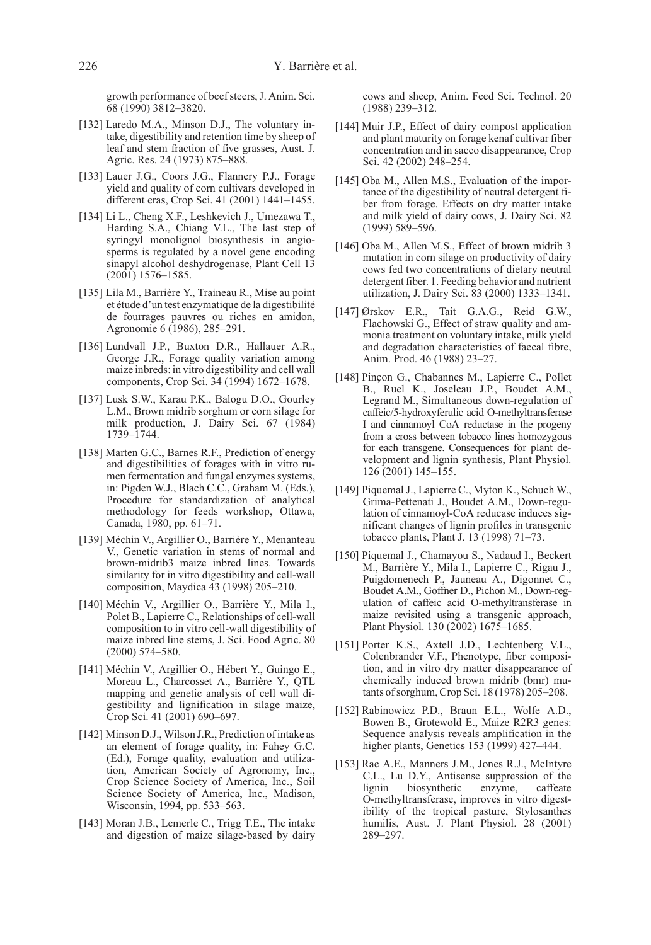growth performance of beef steers, J. Anim. Sci. 68 (1990) 3812–3820.

- [132] Laredo M.A., Minson D.J., The voluntary intake, digestibility and retention time by sheep of leaf and stem fraction of five grasses, Aust. J. Agric. Res. 24 (1973) 875–888.
- [133] Lauer J.G., Coors J.G., Flannery P.J., Forage yield and quality of corn cultivars developed in different eras, Crop Sci. 41 (2001) 1441–1455.
- [134] Li L., Cheng X.F., Leshkevich J., Umezawa T., Harding S.A., Chiang V.L., The last step of syringyl monolignol biosynthesis in angiosperms is regulated by a novel gene encoding sinapyl alcohol deshydrogenase, Plant Cell 13 (2001) 1576–1585.
- [135] Lila M., Barrière Y., Traineau R., Mise au point et étude d'un test enzymatique de la digestibilité de fourrages pauvres ou riches en amidon, Agronomie 6 (1986), 285–291.
- [136] Lundvall J.P., Buxton D.R., Hallauer A.R., George J.R., Forage quality variation among maize inbreds: in vitro digestibility and cell wall components, Crop Sci. 34 (1994) 1672–1678.
- [137] Lusk S.W., Karau P.K., Balogu D.O., Gourley L.M., Brown midrib sorghum or corn silage for milk production, J. Dairy Sci. 67 (1984) 1739–1744.
- [138] Marten G.C., Barnes R.F., Prediction of energy and digestibilities of forages with in vitro rumen fermentation and fungal enzymes systems, in: Pigden W.J., Blach C.C., Graham M. (Eds.), Procedure for standardization of analytical methodology for feeds workshop, Ottawa, Canada, 1980, pp. 61–71.
- [139] Méchin V., Argillier O., Barrière Y., Menanteau V., Genetic variation in stems of normal and brown-midrib3 maize inbred lines. Towards similarity for in vitro digestibility and cell-wall composition, Maydica 43 (1998) 205–210.
- [140] Méchin V., Argillier O., Barrière Y., Mila I., Polet B., Lapierre C., Relationships of cell-wall composition to in vitro cell-wall digestibility of maize inbred line stems, J. Sci. Food Agric. 80 (2000) 574–580.
- [141] Méchin V., Argillier O., Hébert Y., Guingo E., Moreau L., Charcosset A., Barrière Y., QTL mapping and genetic analysis of cell wall digestibility and lignification in silage maize, Crop Sci. 41 (2001) 690–697.
- [142] Minson D.J., Wilson J.R., Prediction of intake as an element of forage quality, in: Fahey G.C. (Ed.), Forage quality, evaluation and utilization, American Society of Agronomy, Inc., Crop Science Society of America, Inc., Soil Science Society of America, Inc., Madison, Wisconsin, 1994, pp. 533–563.
- [143] Moran J.B., Lemerle C., Trigg T.E., The intake and digestion of maize silage-based by dairy

cows and sheep, Anim. Feed Sci. Technol. 20 (1988) 239–312.

- [144] Muir J.P., Effect of dairy compost application and plant maturity on forage kenaf cultivar fiber concentration and in sacco disappearance, Crop Sci. 42 (2002) 248–254.
- [145] Oba M., Allen M.S., Evaluation of the importance of the digestibility of neutral detergent fiber from forage. Effects on dry matter intake and milk yield of dairy cows, J. Dairy Sci. 82 (1999) 589–596.
- [146] Oba M., Allen M.S., Effect of brown midrib 3 mutation in corn silage on productivity of dairy cows fed two concentrations of dietary neutral detergent fiber. 1. Feeding behavior and nutrient utilization, J. Dairy Sci. 83 (2000) 1333–1341.
- [147] Ørskov E.R., Tait G.A.G., Reid G.W., Flachowski G., Effect of straw quality and ammonia treatment on voluntary intake, milk yield and degradation characteristics of faecal fibre, Anim. Prod. 46 (1988) 23–27.
- [148] Pinçon G., Chabannes M., Lapierre C., Pollet B., Ruel K., Joseleau J.P., Boudet A.M., Legrand M., Simultaneous down-regulation of caffeic/5-hydroxyferulic acid O-methyltransferase I and cinnamoyl CoA reductase in the progeny from a cross between tobacco lines homozygous for each transgene. Consequences for plant development and lignin synthesis, Plant Physiol. 126 (2001) 145–155.
- [149] Piquemal J., Lapierre C., Myton K., Schuch W., Grima-Pettenati J., Boudet A.M., Down-regulation of cinnamoyl-CoA reducase induces significant changes of lignin profiles in transgenic tobacco plants, Plant J. 13 (1998) 71–73.
- [150] Piquemal J., Chamayou S., Nadaud I., Beckert M., Barrière Y., Mila I., Lapierre C., Rigau J., Puigdomenech P., Jauneau A., Digonnet C., Boudet A.M., Goffner D., Pichon M., Down-regulation of caffeic acid O-methyltransferase in maize revisited using a transgenic approach, Plant Physiol. 130 (2002) 1675–1685.
- [151] Porter K.S., Axtell J.D., Lechtenberg V.L., Colenbrander V.F., Phenotype, fiber composition, and in vitro dry matter disappearance of chemically induced brown midrib (bmr) mutants of sorghum, Crop Sci. 18 (1978) 205–208.
- [152] Rabinowicz P.D., Braun E.L., Wolfe A.D., Bowen B., Grotewold E., Maize R2R3 genes: Sequence analysis reveals amplification in the higher plants, Genetics 153 (1999) 427–444.
- [153] Rae A.E., Manners J.M., Jones R.J., McIntyre C.L., Lu D.Y., Antisense suppression of the lignin biosynthetic enzyme, caffeate O-methyltransferase, improves in vitro digestibility of the tropical pasture, Stylosanthes humilis, Aust. J. Plant Physiol. 28 (2001) 289–297.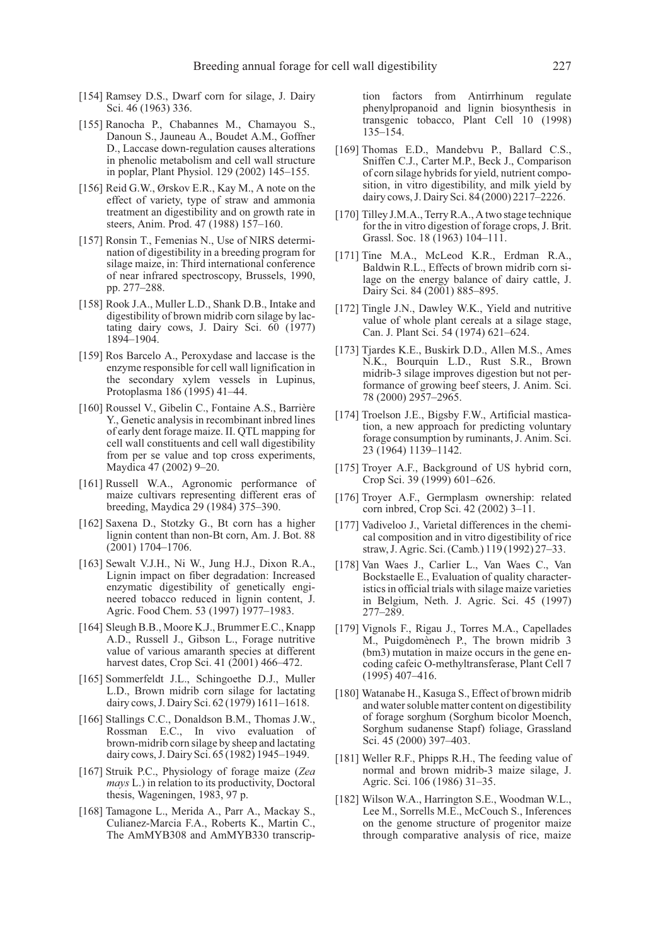- [154] Ramsey D.S., Dwarf corn for silage, J. Dairy Sci. 46 (1963) 336.
- [155] Ranocha P., Chabannes M., Chamayou S., Danoun S., Jauneau A., Boudet A.M., Goffner D., Laccase down-regulation causes alterations in phenolic metabolism and cell wall structure in poplar, Plant Physiol. 129 (2002) 145–155.
- [156] Reid G.W., Ørskov E.R., Kay M., A note on the effect of variety, type of straw and ammonia treatment an digestibility and on growth rate in steers, Anim. Prod. 47 (1988) 157–160.
- [157] Ronsin T., Femenias N., Use of NIRS determination of digestibility in a breeding program for silage maize, in: Third international conference of near infrared spectroscopy, Brussels, 1990, pp. 277–288.
- [158] Rook J.A., Muller L.D., Shank D.B., Intake and digestibility of brown midrib corn silage by lactating dairy cows, J. Dairy Sci. 60 (1977) 1894–1904.
- [159] Ros Barcelo A., Peroxydase and laccase is the enzyme responsible for cell wall lignification in the secondary xylem vessels in Lupinus, Protoplasma 186 (1995) 41–44.
- [160] Roussel V., Gibelin C., Fontaine A.S., Barrière Y., Genetic analysis in recombinant inbred lines of early dent forage maize. II. QTL mapping for cell wall constituents and cell wall digestibility from per se value and top cross experiments, Maydica 47 (2002) 9–20.
- [161] Russell W.A., Agronomic performance of maize cultivars representing different eras of breeding, Maydica 29 (1984) 375–390.
- [162] Saxena D., Stotzky G., Bt corn has a higher lignin content than non-Bt corn, Am. J. Bot. 88 (2001) 1704–1706.
- [163] Sewalt V.J.H., Ni W., Jung H.J., Dixon R.A., Lignin impact on fiber degradation: Increased enzymatic digestibility of genetically engineered tobacco reduced in lignin content, J. Agric. Food Chem. 53 (1997) 1977–1983.
- [164] Sleugh B.B., Moore K.J., Brummer E.C., Knapp A.D., Russell J., Gibson L., Forage nutritive value of various amaranth species at different harvest dates, Crop Sci. 41 (2001) 466–472.
- [165] Sommerfeldt J.L., Schingoethe D.J., Muller L.D., Brown midrib corn silage for lactating dairy cows, J. Dairy Sci. 62 (1979) 1611–1618.
- [166] Stallings C.C., Donaldson B.M., Thomas J.W., Rossman E.C., In vivo evaluation of brown-midrib corn silage by sheep and lactating dairy cows, J. Dairy Sci. 65 (1982) 1945–1949.
- [167] Struik P.C., Physiology of forage maize (Zea mays L.) in relation to its productivity, Doctoral thesis, Wageningen, 1983, 97 p.
- [168] Tamagone L., Merida A., Parr A., Mackay S., Culianez-Marcia F.A., Roberts K., Martin C., The AmMYB308 and AmMYB330 transcrip-

tion factors from Antirrhinum regulate phenylpropanoid and lignin biosynthesis in transgenic tobacco, Plant Cell 10 (1998) 135–154.

- [169] Thomas E.D., Mandebvu P., Ballard C.S., Sniffen C.J., Carter M.P., Beck J., Comparison of corn silage hybrids for yield, nutrient composition, in vitro digestibility, and milk yield by dairy cows, J. Dairy Sci. 84 (2000) 2217–2226.
- [170] Tilley J.M.A., Terry R.A., A two stage technique for the in vitro digestion of forage crops, J. Brit. Grassl. Soc. 18 (1963) 104–111.
- [171] Tine M.A., McLeod K.R., Erdman R.A., Baldwin R.L., Effects of brown midrib corn silage on the energy balance of dairy cattle, J. Dairy Sci. 84 (2001) 885–895.
- [172] Tingle J.N., Dawley W.K., Yield and nutritive value of whole plant cereals at a silage stage, Can. J. Plant Sci. 54 (1974) 621–624.
- [173] Tjardes K.E., Buskirk D.D., Allen M.S., Ames N.K., Bourquin L.D., Rust S.R., Brown midrib-3 silage improves digestion but not performance of growing beef steers, J. Anim. Sci. 78 (2000) 2957–2965.
- [174] Troelson J.E., Bigsby F.W., Artificial mastication, a new approach for predicting voluntary forage consumption by ruminants, J. Anim. Sci. 23 (1964) 1139–1142.
- [175] Troyer A.F., Background of US hybrid corn, Crop Sci. 39 (1999) 601–626.
- [176] Troyer A.F., Germplasm ownership: related corn inbred, Crop Sci. 42 (2002) 3–11.
- [177] Vadiveloo J., Varietal differences in the chemical composition and in vitro digestibility of rice straw, J. Agric. Sci. (Camb.) 119 (1992) 27–33.
- [178] Van Waes J., Carlier L., Van Waes C., Van Bockstaelle E., Evaluation of quality characteristics in official trials with silage maize varieties in Belgium, Neth. J. Agric. Sci. 45 (1997) 277–289.
- [179] Vignols F., Rigau J., Torres M.A., Capellades M., Puigdomènech P., The brown midrib 3 (bm3) mutation in maize occurs in the gene encoding cafeic O-methyltransferase, Plant Cell 7 (1995) 407–416.
- [180] Watanabe H., Kasuga S., Effect of brown midrib and water soluble matter content on digestibility of forage sorghum (Sorghum bicolor Moench, Sorghum sudanense Stapf) foliage, Grassland Sci. 45 (2000) 397–403.
- [181] Weller R.F., Phipps R.H., The feeding value of normal and brown midrib-3 maize silage, J. Agric. Sci. 106 (1986) 31–35.
- [182] Wilson W.A., Harrington S.E., Woodman W.L., Lee M., Sorrells M.E., McCouch S., Inferences on the genome structure of progenitor maize through comparative analysis of rice, maize